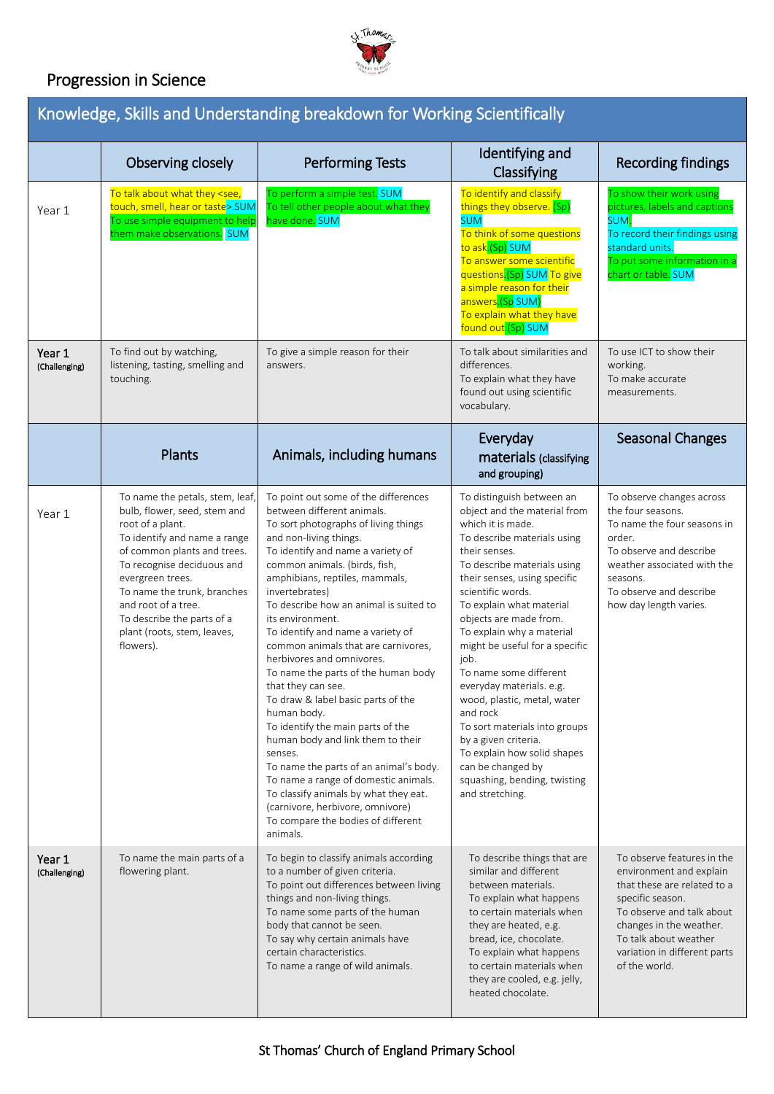

# Knowledge, Skills and Understanding breakdown for Working Scientifically

|                         | Observing closely                                                                                                                                                                                                                                                                                                                    | <b>Performing Tests</b>                                                                                                                                                                                                                                                                                                                                                                                                                                                                                                                                                                                                                                                                                                                                                                                                                                       | Identifying and<br>Classifying                                                                                                                                                                                                                                                                                                                                                                                                                                                                                                                                                                                                  | <b>Recording findings</b>                                                                                                                                                                                                                  |
|-------------------------|--------------------------------------------------------------------------------------------------------------------------------------------------------------------------------------------------------------------------------------------------------------------------------------------------------------------------------------|---------------------------------------------------------------------------------------------------------------------------------------------------------------------------------------------------------------------------------------------------------------------------------------------------------------------------------------------------------------------------------------------------------------------------------------------------------------------------------------------------------------------------------------------------------------------------------------------------------------------------------------------------------------------------------------------------------------------------------------------------------------------------------------------------------------------------------------------------------------|---------------------------------------------------------------------------------------------------------------------------------------------------------------------------------------------------------------------------------------------------------------------------------------------------------------------------------------------------------------------------------------------------------------------------------------------------------------------------------------------------------------------------------------------------------------------------------------------------------------------------------|--------------------------------------------------------------------------------------------------------------------------------------------------------------------------------------------------------------------------------------------|
| Year 1                  | To talk about what they <see,<br>touch, smell, hear or taste&gt;.SUM<br/>To use simple equipment to help<br/>them make observations. SUM</see,<br>                                                                                                                                                                                   | To perform a simple test. SUM<br>To tell other people about what they<br>have done. SUM                                                                                                                                                                                                                                                                                                                                                                                                                                                                                                                                                                                                                                                                                                                                                                       | To identify and classify<br>things they observe. (Sp)<br><b>SUM</b><br>To think of some questions<br>to ask.(Sp) SUM<br>To answer some scientific<br>questions.(Sp) SUM To give<br>a simple reason for their<br>answers.(Sp SUM)<br>To explain what they have<br>found out.(Sp) SUM                                                                                                                                                                                                                                                                                                                                             | To show their work using<br>pictures, labels and captions<br>SUM.<br>To record their findings using<br>standard units.<br>To put some information in a<br>chart or table. SUM                                                              |
| Year 1<br>(Challenging) | To find out by watching,<br>listening, tasting, smelling and<br>touching.                                                                                                                                                                                                                                                            | To give a simple reason for their<br>answers.                                                                                                                                                                                                                                                                                                                                                                                                                                                                                                                                                                                                                                                                                                                                                                                                                 | To talk about similarities and<br>differences.<br>To explain what they have<br>found out using scientific<br>vocabulary.                                                                                                                                                                                                                                                                                                                                                                                                                                                                                                        | To use ICT to show their<br>working.<br>To make accurate<br>measurements.                                                                                                                                                                  |
|                         | Plants                                                                                                                                                                                                                                                                                                                               | Animals, including humans                                                                                                                                                                                                                                                                                                                                                                                                                                                                                                                                                                                                                                                                                                                                                                                                                                     | Everyday<br>materials (classifying<br>and grouping)                                                                                                                                                                                                                                                                                                                                                                                                                                                                                                                                                                             | <b>Seasonal Changes</b>                                                                                                                                                                                                                    |
| Year 1                  | To name the petals, stem, leaf,<br>bulb, flower, seed, stem and<br>root of a plant.<br>To identify and name a range<br>of common plants and trees.<br>To recognise deciduous and<br>evergreen trees.<br>To name the trunk, branches<br>and root of a tree.<br>To describe the parts of a<br>plant (roots, stem, leaves,<br>flowers). | To point out some of the differences<br>between different animals.<br>To sort photographs of living things<br>and non-living things.<br>To identify and name a variety of<br>common animals. (birds, fish,<br>amphibians, reptiles, mammals,<br>invertebrates)<br>To describe how an animal is suited to<br>its environment.<br>To identify and name a variety of<br>common animals that are carnivores,<br>herbivores and omnivores.<br>To name the parts of the human body<br>that they can see.<br>To draw & label basic parts of the<br>human body.<br>To identify the main parts of the<br>human body and link them to their<br>senses.<br>To name the parts of an animal's body.<br>To name a range of domestic animals.<br>To classify animals by what they eat.<br>(carnivore, herbivore, omnivore)<br>To compare the bodies of different<br>animals. | To distinguish between an<br>object and the material from<br>which it is made.<br>To describe materials using<br>their senses.<br>To describe materials using<br>their senses, using specific<br>scientific words.<br>To explain what material<br>objects are made from.<br>To explain why a material<br>might be useful for a specific<br>job.<br>To name some different<br>everyday materials. e.g.<br>wood, plastic, metal, water<br>and rock <b>compare</b><br>To sort materials into groups<br>by a given criteria.<br>To explain how solid shapes<br>can be changed by<br>squashing, bending, twisting<br>and stretching. | To observe changes across<br>the four seasons.<br>To name the four seasons in<br>order.<br>To observe and describe<br>weather associated with the<br>seasons.<br>To observe and describe<br>how day length varies.                         |
| Year 1<br>(Challenging) | To name the main parts of a<br>flowering plant.                                                                                                                                                                                                                                                                                      | To begin to classify animals according<br>to a number of given criteria.<br>To point out differences between living<br>things and non-living things.<br>To name some parts of the human<br>body that cannot be seen.<br>To say why certain animals have<br>certain characteristics.<br>To name a range of wild animals.                                                                                                                                                                                                                                                                                                                                                                                                                                                                                                                                       | To describe things that are<br>similar and different<br>between materials.<br>To explain what happens<br>to certain materials when<br>they are heated, e.g.<br>bread, ice, chocolate.<br>To explain what happens<br>to certain materials when<br>they are cooled, e.g. jelly,<br>heated chocolate.                                                                                                                                                                                                                                                                                                                              | To observe features in the<br>environment and explain<br>that these are related to a<br>specific season.<br>To observe and talk about<br>changes in the weather.<br>To talk about weather<br>variation in different parts<br>of the world. |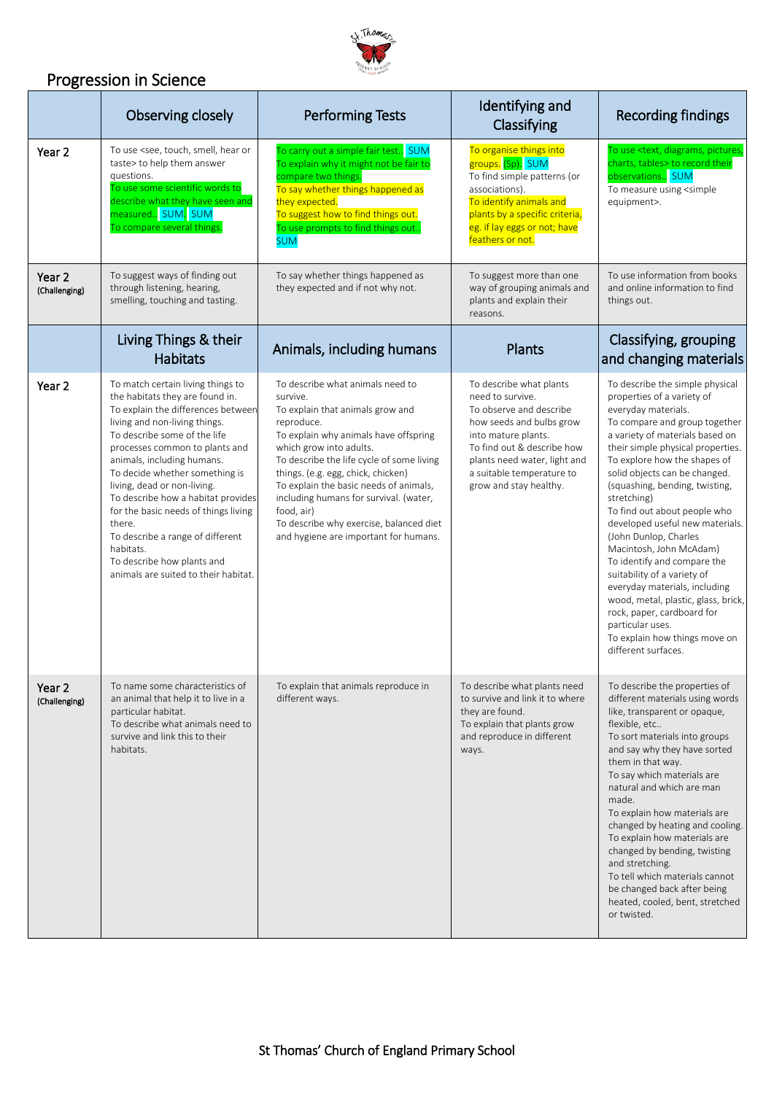

|                         | Observing closely                                                                                                                                                                                                                                                                                                                                                                                                                                                                                                           | <b>Performing Tests</b>                                                                                                                                                                                                                                                                                                                                                                                                                     | Identifying and<br>Classifying                                                                                                                                                                                                                 | <b>Recording findings</b>                                                                                                                                                                                                                                                                                                                                                                                                                                                                                                                                                                                                                                                              |
|-------------------------|-----------------------------------------------------------------------------------------------------------------------------------------------------------------------------------------------------------------------------------------------------------------------------------------------------------------------------------------------------------------------------------------------------------------------------------------------------------------------------------------------------------------------------|---------------------------------------------------------------------------------------------------------------------------------------------------------------------------------------------------------------------------------------------------------------------------------------------------------------------------------------------------------------------------------------------------------------------------------------------|------------------------------------------------------------------------------------------------------------------------------------------------------------------------------------------------------------------------------------------------|----------------------------------------------------------------------------------------------------------------------------------------------------------------------------------------------------------------------------------------------------------------------------------------------------------------------------------------------------------------------------------------------------------------------------------------------------------------------------------------------------------------------------------------------------------------------------------------------------------------------------------------------------------------------------------------|
| Year 2                  | To use <see, hear="" or<br="" smell,="" touch,="">taste&gt; to help them answer<br/>questions.<br/>To use some scientific words to<br/>describe what they have seen and<br/>measured SUM. SUM<br/>To compare several things.</see,>                                                                                                                                                                                                                                                                                         | To carry out a simple fair test SUM<br>To explain why it might not be fair to<br>compare two things.<br>To say whether things happened as<br>they expected.<br>To suggest how to find things out.<br>To use prompts to find things out<br><b>SUM</b>                                                                                                                                                                                        | To organise things into<br>groups. (Sp). SUM<br>To find simple patterns (or<br>associations).<br>To identify animals and<br>plants by a specific criteria,<br>eg. if lay eggs or not; have<br>feathers or not.                                 | To use <text, diagrams,="" pictures,<br="">charts, tables&gt; to record their<br/>observations SUM<br/>To measure using <simple<br>equipment&gt;.</simple<br></text,>                                                                                                                                                                                                                                                                                                                                                                                                                                                                                                                  |
| Year 2<br>(Challenging) | To suggest ways of finding out<br>through listening, hearing,<br>smelling, touching and tasting.                                                                                                                                                                                                                                                                                                                                                                                                                            | To say whether things happened as<br>they expected and if not why not.                                                                                                                                                                                                                                                                                                                                                                      | To suggest more than one<br>way of grouping animals and<br>plants and explain their<br>reasons.                                                                                                                                                | To use information from books<br>and online information to find<br>things out.                                                                                                                                                                                                                                                                                                                                                                                                                                                                                                                                                                                                         |
|                         | Living Things & their<br><b>Habitats</b>                                                                                                                                                                                                                                                                                                                                                                                                                                                                                    | Animals, including humans                                                                                                                                                                                                                                                                                                                                                                                                                   | <b>Plants</b>                                                                                                                                                                                                                                  | Classifying, grouping<br>and changing materials                                                                                                                                                                                                                                                                                                                                                                                                                                                                                                                                                                                                                                        |
| Year <sub>2</sub>       | To match certain living things to<br>the habitats they are found in.<br>To explain the differences between<br>living and non-living things.<br>To describe some of the life<br>processes common to plants and<br>animals, including humans.<br>To decide whether something is<br>living, dead or non-living.<br>To describe how a habitat provides<br>for the basic needs of things living<br>there.<br>To describe a range of different<br>habitats.<br>To describe how plants and<br>animals are suited to their habitat. | To describe what animals need to<br>survive.<br>To explain that animals grow and<br>reproduce.<br>To explain why animals have offspring<br>which grow into adults.<br>To describe the life cycle of some living<br>things. (e.g. egg, chick, chicken)<br>To explain the basic needs of animals,<br>including humans for survival. (water,<br>food, air)<br>To describe why exercise, balanced diet<br>and hygiene are important for humans. | To describe what plants<br>need to survive.<br>To observe and describe<br>how seeds and bulbs grow<br>into mature plants.<br>To find out & describe how<br>plants need water, light and<br>a suitable temperature to<br>grow and stay healthy. | To describe the simple physical<br>properties of a variety of<br>everyday materials.<br>To compare and group together<br>a variety of materials based on<br>their simple physical properties.<br>To explore how the shapes of<br>solid objects can be changed.<br>(squashing, bending, twisting,<br>stretching)<br>To find out about people who<br>developed useful new materials.<br>(John Dunlop, Charles<br>Macintosh, John McAdam)<br>To identify and compare the<br>suitability of a variety of<br>everyday materials, including<br>wood, metal, plastic, glass, brick,<br>rock, paper, cardboard for<br>particular uses.<br>To explain how things move on<br>different surfaces. |
| Year 2<br>(Challenging) | To name some characteristics of<br>an animal that help it to live in a<br>particular habitat.<br>To describe what animals need to<br>survive and link this to their<br>habitats.                                                                                                                                                                                                                                                                                                                                            | To explain that animals reproduce in<br>different ways.                                                                                                                                                                                                                                                                                                                                                                                     | To describe what plants need<br>to survive and link it to where<br>they are found.<br>To explain that plants grow<br>and reproduce in different<br>ways.                                                                                       | To describe the properties of<br>different materials using words<br>like, transparent or opaque,<br>flexible, etc<br>To sort materials into groups<br>and say why they have sorted<br>them in that way.<br>To say which materials are<br>natural and which are man<br>made.<br>To explain how materials are<br>changed by heating and cooling.<br>To explain how materials are<br>changed by bending, twisting<br>and stretching.<br>To tell which materials cannot<br>be changed back after being<br>heated, cooled, bent, stretched<br>or twisted.                                                                                                                                   |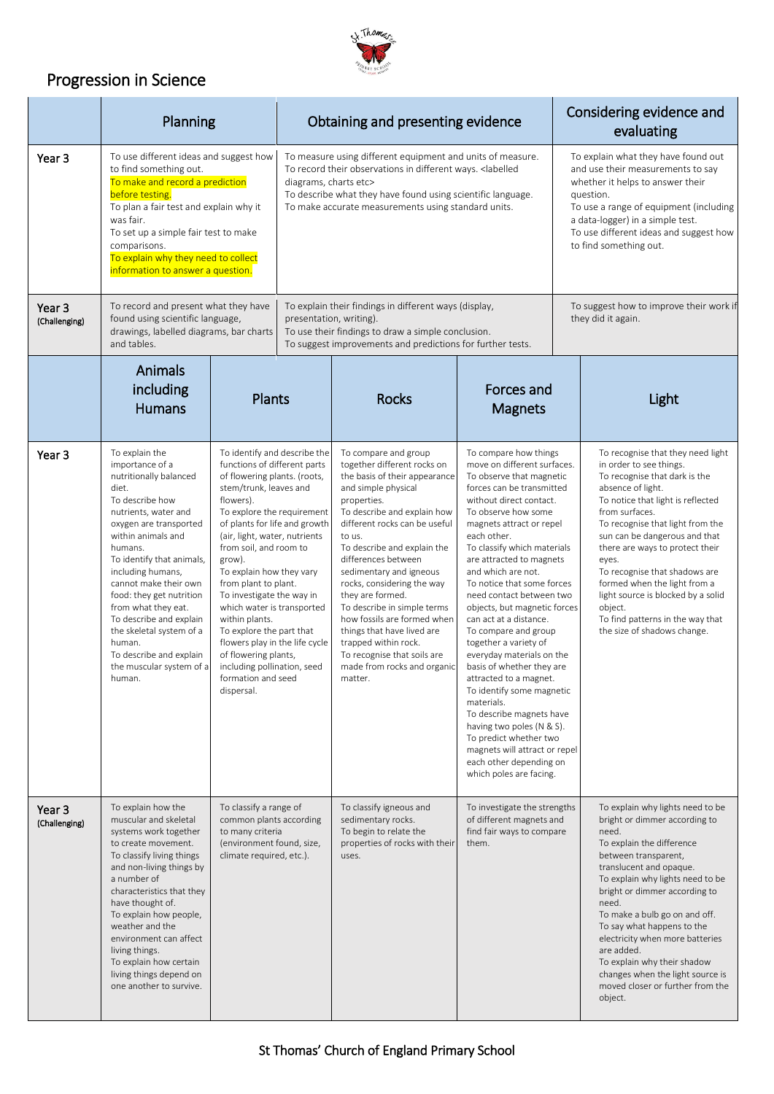

|                                    | Planning                                                                                                                                                                                                                                                                                                                                                                                                                                   |                                                                                                                                                                                                                                                                                                                                                                                                                                                                                                                                                                   | Obtaining and presenting evidence                                                                                                                                                                                                                                       |                                                                                                                                                                                                                                                                                                                                                                                                                                                                                                                                      |                                                                                                                                                                                                                                                                                                                                                                                                                                                                                                                                                                                                                                                                                                                                                                           | Considering evidence and<br>evaluating                                                                                                                                                                                                                                      |                                                                                                                                                                                                                                                                                                                                                                                                                                                                                 |  |
|------------------------------------|--------------------------------------------------------------------------------------------------------------------------------------------------------------------------------------------------------------------------------------------------------------------------------------------------------------------------------------------------------------------------------------------------------------------------------------------|-------------------------------------------------------------------------------------------------------------------------------------------------------------------------------------------------------------------------------------------------------------------------------------------------------------------------------------------------------------------------------------------------------------------------------------------------------------------------------------------------------------------------------------------------------------------|-------------------------------------------------------------------------------------------------------------------------------------------------------------------------------------------------------------------------------------------------------------------------|--------------------------------------------------------------------------------------------------------------------------------------------------------------------------------------------------------------------------------------------------------------------------------------------------------------------------------------------------------------------------------------------------------------------------------------------------------------------------------------------------------------------------------------|---------------------------------------------------------------------------------------------------------------------------------------------------------------------------------------------------------------------------------------------------------------------------------------------------------------------------------------------------------------------------------------------------------------------------------------------------------------------------------------------------------------------------------------------------------------------------------------------------------------------------------------------------------------------------------------------------------------------------------------------------------------------------|-----------------------------------------------------------------------------------------------------------------------------------------------------------------------------------------------------------------------------------------------------------------------------|---------------------------------------------------------------------------------------------------------------------------------------------------------------------------------------------------------------------------------------------------------------------------------------------------------------------------------------------------------------------------------------------------------------------------------------------------------------------------------|--|
| Year 3                             | To use different ideas and suggest how<br>to find something out.<br>To make and record a prediction<br>before testing.<br>To plan a fair test and explain why it<br>was fair.<br>To set up a simple fair test to make<br>comparisons.<br>To explain why they need to collect<br>information to answer a question.                                                                                                                          |                                                                                                                                                                                                                                                                                                                                                                                                                                                                                                                                                                   | To measure using different equipment and units of measure.<br>To record their observations in different ways. < labelled<br>diagrams, charts etc><br>To describe what they have found using scientific language.<br>To make accurate measurements using standard units. |                                                                                                                                                                                                                                                                                                                                                                                                                                                                                                                                      |                                                                                                                                                                                                                                                                                                                                                                                                                                                                                                                                                                                                                                                                                                                                                                           | To explain what they have found out<br>and use their measurements to say<br>whether it helps to answer their<br>question.<br>To use a range of equipment (including<br>a data-logger) in a simple test.<br>To use different ideas and suggest how<br>to find something out. |                                                                                                                                                                                                                                                                                                                                                                                                                                                                                 |  |
| Year <sub>3</sub><br>(Challenging) | To record and present what they have<br>found using scientific language,<br>drawings, labelled diagrams, bar charts<br>and tables.                                                                                                                                                                                                                                                                                                         |                                                                                                                                                                                                                                                                                                                                                                                                                                                                                                                                                                   | To explain their findings in different ways (display,<br>presentation, writing).<br>To use their findings to draw a simple conclusion.<br>To suggest improvements and predictions for further tests.                                                                    |                                                                                                                                                                                                                                                                                                                                                                                                                                                                                                                                      |                                                                                                                                                                                                                                                                                                                                                                                                                                                                                                                                                                                                                                                                                                                                                                           |                                                                                                                                                                                                                                                                             | To suggest how to improve their work if<br>they did it again.                                                                                                                                                                                                                                                                                                                                                                                                                   |  |
|                                    | <b>Animals</b><br>including<br>Plants<br><b>Humans</b>                                                                                                                                                                                                                                                                                                                                                                                     |                                                                                                                                                                                                                                                                                                                                                                                                                                                                                                                                                                   |                                                                                                                                                                                                                                                                         | <b>Rocks</b>                                                                                                                                                                                                                                                                                                                                                                                                                                                                                                                         | Forces and<br><b>Magnets</b>                                                                                                                                                                                                                                                                                                                                                                                                                                                                                                                                                                                                                                                                                                                                              |                                                                                                                                                                                                                                                                             | Light                                                                                                                                                                                                                                                                                                                                                                                                                                                                           |  |
| Year 3                             | To explain the<br>importance of a<br>nutritionally balanced<br>diet.<br>To describe how<br>nutrients, water and<br>oxygen are transported<br>within animals and<br>humans.<br>To identify that animals,<br>including humans,<br>cannot make their own<br>food: they get nutrition<br>from what they eat.<br>To describe and explain<br>the skeletal system of a<br>human.<br>To describe and explain<br>the muscular system of a<br>human. | To identify and describe the<br>functions of different parts<br>of flowering plants. (roots,<br>stem/trunk, leaves and<br>flowers).<br>To explore the requirement<br>of plants for life and growth<br>(air, light, water, nutrients<br>from soil, and room to<br>grow).<br>To explain how they vary<br>from plant to plant.<br>To investigate the way in<br>which water is transported<br>within plants.<br>To explore the part that<br>flowers play in the life cycle<br>of flowering plants,<br>including pollination, seed<br>formation and seed<br>dispersal. |                                                                                                                                                                                                                                                                         | To compare and group<br>together different rocks on<br>the basis of their appearance<br>and simple physical<br>properties.<br>To describe and explain how<br>different rocks can be useful<br>to us.<br>To describe and explain the<br>differences between<br>sedimentary and igneous<br>rocks, considering the way<br>they are formed.<br>To describe in simple terms<br>how fossils are formed when<br>things that have lived are<br>trapped within rock.<br>To recognise that soils are<br>made from rocks and organic<br>matter. | To compare how things<br>move on different surfaces.<br>To observe that magnetic<br>forces can be transmitted<br>without direct contact.<br>To observe how some<br>magnets attract or repel<br>each other.<br>To classify which materials<br>are attracted to magnets<br>and which are not.<br>To notice that some forces<br>need contact between two<br>objects, but magnetic forces<br>can act at a distance.<br>To compare and group<br>together a variety of<br>everyday materials on the<br>basis of whether they are<br>attracted to a magnet.<br>To identify some magnetic<br>materials.<br>To describe magnets have<br>having two poles (N & S).<br>To predict whether two<br>magnets will attract or repel<br>each other depending on<br>which poles are facing. |                                                                                                                                                                                                                                                                             | To recognise that they need light<br>in order to see things.<br>To recognise that dark is the<br>absence of light.<br>To notice that light is reflected<br>from surfaces.<br>To recognise that light from the<br>sun can be dangerous and that<br>there are ways to protect their<br>eyes.<br>To recognise that shadows are<br>formed when the light from a<br>light source is blocked by a solid<br>object.<br>To find patterns in the way that<br>the size of shadows change. |  |
| Year 3<br>(Challenging)            | To explain how the<br>muscular and skeletal<br>systems work together<br>to create movement.<br>To classify living things<br>and non-living things by<br>a number of<br>characteristics that they<br>have thought of.<br>To explain how people,<br>weather and the<br>environment can affect<br>living things.<br>To explain how certain<br>living things depend on<br>one another to survive.                                              | To classify a range of<br>common plants according<br>to many criteria<br>(environment found, size,<br>climate required, etc.).                                                                                                                                                                                                                                                                                                                                                                                                                                    |                                                                                                                                                                                                                                                                         | To classify igneous and<br>sedimentary rocks.<br>To begin to relate the<br>properties of rocks with their<br>uses.                                                                                                                                                                                                                                                                                                                                                                                                                   | To investigate the strengths<br>of different magnets and<br>find fair ways to compare<br>them.                                                                                                                                                                                                                                                                                                                                                                                                                                                                                                                                                                                                                                                                            |                                                                                                                                                                                                                                                                             | To explain why lights need to be<br>bright or dimmer according to<br>need.<br>To explain the difference<br>between transparent,<br>translucent and opaque.<br>To explain why lights need to be<br>bright or dimmer according to<br>need.<br>To make a bulb go on and off.<br>To say what happens to the<br>electricity when more batteries<br>are added.<br>To explain why their shadow<br>changes when the light source is<br>moved closer or further from the<br>object.      |  |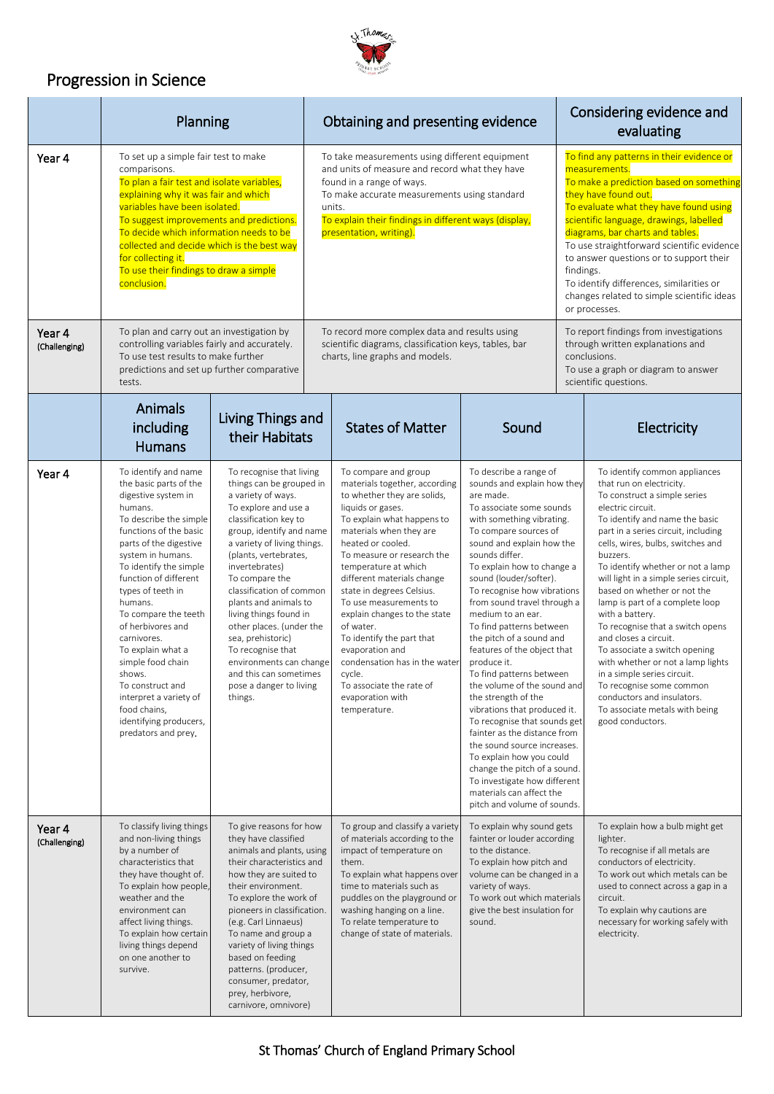

|                         | Planning                                                                                                                                                                                                                                                                                                                                                                                                                                                                                              |                                                                                                                                                                                                                                                                                                                                                                                                                                                                                                     | Obtaining and presenting evidence                                                                                                                                                                                                                                           |                                                                                                                                                                                                                                                                                                                                                                                                                                                                                                                                            |                                                                                                                                                                                                                                                                                                                                                                                                                                                                                                                                                                                                                                                                                                                                                                                                    | Considering evidence and<br>evaluating                                                                                                                                                                                                                                                                                                                                                                                                                                  |                                                                                                                                                                                                                                                                                                                                                                                                                                                                                                                                                                                                                                                                                                |  |
|-------------------------|-------------------------------------------------------------------------------------------------------------------------------------------------------------------------------------------------------------------------------------------------------------------------------------------------------------------------------------------------------------------------------------------------------------------------------------------------------------------------------------------------------|-----------------------------------------------------------------------------------------------------------------------------------------------------------------------------------------------------------------------------------------------------------------------------------------------------------------------------------------------------------------------------------------------------------------------------------------------------------------------------------------------------|-----------------------------------------------------------------------------------------------------------------------------------------------------------------------------------------------------------------------------------------------------------------------------|--------------------------------------------------------------------------------------------------------------------------------------------------------------------------------------------------------------------------------------------------------------------------------------------------------------------------------------------------------------------------------------------------------------------------------------------------------------------------------------------------------------------------------------------|----------------------------------------------------------------------------------------------------------------------------------------------------------------------------------------------------------------------------------------------------------------------------------------------------------------------------------------------------------------------------------------------------------------------------------------------------------------------------------------------------------------------------------------------------------------------------------------------------------------------------------------------------------------------------------------------------------------------------------------------------------------------------------------------------|-------------------------------------------------------------------------------------------------------------------------------------------------------------------------------------------------------------------------------------------------------------------------------------------------------------------------------------------------------------------------------------------------------------------------------------------------------------------------|------------------------------------------------------------------------------------------------------------------------------------------------------------------------------------------------------------------------------------------------------------------------------------------------------------------------------------------------------------------------------------------------------------------------------------------------------------------------------------------------------------------------------------------------------------------------------------------------------------------------------------------------------------------------------------------------|--|
| Year 4                  | To set up a simple fair test to make<br>comparisons.<br>To plan a fair test and isolate variables,<br>explaining why it was fair and which<br>variables have been isolated.<br>To suggest improvements and predictions.<br>To decide which information needs to be<br>collected and decide which is the best way<br>for collecting it.<br>To use their findings to draw a simple<br>conclusion.                                                                                                       |                                                                                                                                                                                                                                                                                                                                                                                                                                                                                                     | To take measurements using different equipment<br>and units of measure and record what they have<br>found in a range of ways.<br>To make accurate measurements using standard<br>units.<br>To explain their findings in different ways (display,<br>presentation, writing). |                                                                                                                                                                                                                                                                                                                                                                                                                                                                                                                                            |                                                                                                                                                                                                                                                                                                                                                                                                                                                                                                                                                                                                                                                                                                                                                                                                    | To find any patterns in their evidence or<br>measurements.<br>To make a prediction based on something<br>they have found out.<br>To evaluate what they have found using<br>scientific language, drawings, labelled<br>diagrams, bar charts and tables.<br>To use straightforward scientific evidence<br>to answer questions or to support their<br>findings.<br>To identify differences, similarities or<br>changes related to simple scientific ideas<br>or processes. |                                                                                                                                                                                                                                                                                                                                                                                                                                                                                                                                                                                                                                                                                                |  |
| Year 4<br>(Challenging) | To plan and carry out an investigation by<br>controlling variables fairly and accurately.<br>To use test results to make further<br>predictions and set up further comparative<br>tests.                                                                                                                                                                                                                                                                                                              |                                                                                                                                                                                                                                                                                                                                                                                                                                                                                                     | To record more complex data and results using<br>scientific diagrams, classification keys, tables, bar<br>charts, line graphs and models.                                                                                                                                   |                                                                                                                                                                                                                                                                                                                                                                                                                                                                                                                                            |                                                                                                                                                                                                                                                                                                                                                                                                                                                                                                                                                                                                                                                                                                                                                                                                    |                                                                                                                                                                                                                                                                                                                                                                                                                                                                         | To report findings from investigations<br>through written explanations and<br>conclusions.<br>To use a graph or diagram to answer<br>scientific questions.                                                                                                                                                                                                                                                                                                                                                                                                                                                                                                                                     |  |
|                         | Animals<br>including<br><b>Humans</b>                                                                                                                                                                                                                                                                                                                                                                                                                                                                 | Living Things and<br><b>States of Matter</b><br>Sound<br>their Habitats                                                                                                                                                                                                                                                                                                                                                                                                                             |                                                                                                                                                                                                                                                                             |                                                                                                                                                                                                                                                                                                                                                                                                                                                                                                                                            |                                                                                                                                                                                                                                                                                                                                                                                                                                                                                                                                                                                                                                                                                                                                                                                                    | Electricity                                                                                                                                                                                                                                                                                                                                                                                                                                                             |                                                                                                                                                                                                                                                                                                                                                                                                                                                                                                                                                                                                                                                                                                |  |
| Year 4                  | To identify and name<br>the basic parts of the<br>digestive system in<br>humans.<br>To describe the simple<br>functions of the basic<br>parts of the digestive<br>system in humans.<br>To identify the simple<br>function of different<br>types of teeth in<br>humans.<br>To compare the teeth<br>of herbivores and<br>carnivores.<br>To explain what a<br>simple food chain<br>shows.<br>To construct and<br>interpret a variety of<br>food chains,<br>identifying producers,<br>predators and prey. | To recognise that living<br>things can be grouped in<br>a variety of ways.<br>To explore and use a<br>classification key to<br>group, identify and name<br>a variety of living things.<br>(plants, vertebrates,<br>invertebrates)<br>To compare the<br>classification of common<br>plants and animals to<br>living things found in<br>other places. (under the<br>sea, prehistoric)<br>To recognise that<br>environments can change<br>and this can sometimes<br>pose a danger to living<br>things. |                                                                                                                                                                                                                                                                             | To compare and group<br>materials together, according<br>to whether they are solids,<br>liquids or gases.<br>To explain what happens to<br>materials when they are<br>heated or cooled.<br>To measure or research the<br>temperature at which<br>different materials change<br>state in degrees Celsius.<br>To use measurements to<br>explain changes to the state<br>of water.<br>To identify the part that<br>evaporation and<br>condensation has in the water<br>cycle.<br>To associate the rate of<br>evaporation with<br>temperature. | sounds and explain how they<br>are made.<br>To associate some sounds<br>with something vibrating.<br>To compare sources of<br>sound and explain how the<br>sounds differ.<br>To explain how to change a<br>sound (louder/softer).<br>To recognise how vibrations<br>from sound travel through a<br>medium to an ear.<br>To find patterns between<br>the pitch of a sound and<br>features of the object that<br>produce it.<br>To find patterns between<br>the volume of the sound and<br>the strength of the<br>vibrations that produced it.<br>To recognise that sounds get<br>fainter as the distance from<br>the sound source increases.<br>To explain how you could<br>change the pitch of a sound.<br>To investigate how different<br>materials can affect the<br>pitch and volume of sounds. |                                                                                                                                                                                                                                                                                                                                                                                                                                                                         | To identify common appliances<br>that run on electricity.<br>To construct a simple series<br>electric circuit.<br>To identify and name the basic<br>part in a series circuit, including<br>cells, wires, bulbs, switches and<br>buzzers.<br>To identify whether or not a lamp<br>will light in a simple series circuit,<br>based on whether or not the<br>lamp is part of a complete loop<br>with a battery.<br>To recognise that a switch opens<br>and closes a circuit.<br>To associate a switch opening<br>with whether or not a lamp lights<br>in a simple series circuit.<br>To recognise some common<br>conductors and insulators.<br>To associate metals with being<br>good conductors. |  |
| Year 4<br>(Challenging) | To classify living things<br>and non-living things<br>by a number of<br>characteristics that<br>they have thought of.<br>To explain how people,<br>weather and the<br>environment can<br>affect living things.<br>To explain how certain<br>living things depend<br>on one another to<br>survive.                                                                                                                                                                                                     | To give reasons for how<br>they have classified<br>animals and plants, using<br>their characteristics and<br>how they are suited to<br>their environment.<br>To explore the work of<br>pioneers in classification.<br>(e.g. Carl Linnaeus)<br>To name and group a<br>variety of living things<br>based on feeding<br>patterns. (producer,<br>consumer, predator,<br>prey, herbivore,<br>carnivore, omnivore)                                                                                        |                                                                                                                                                                                                                                                                             | To group and classify a variety<br>of materials according to the<br>impact of temperature on<br>them.<br>To explain what happens over<br>time to materials such as<br>puddles on the playground or<br>washing hanging on a line.<br>To relate temperature to<br>change of state of materials.                                                                                                                                                                                                                                              | To explain why sound gets<br>fainter or louder according<br>to the distance.<br>To explain how pitch and<br>volume can be changed in a<br>variety of ways.<br>To work out which materials<br>give the best insulation for<br>sound.                                                                                                                                                                                                                                                                                                                                                                                                                                                                                                                                                                |                                                                                                                                                                                                                                                                                                                                                                                                                                                                         | To explain how a bulb might get<br>lighter.<br>To recognise if all metals are<br>conductors of electricity.<br>To work out which metals can be<br>used to connect across a gap in a<br>circuit.<br>To explain why cautions are<br>necessary for working safely with<br>electricity.                                                                                                                                                                                                                                                                                                                                                                                                            |  |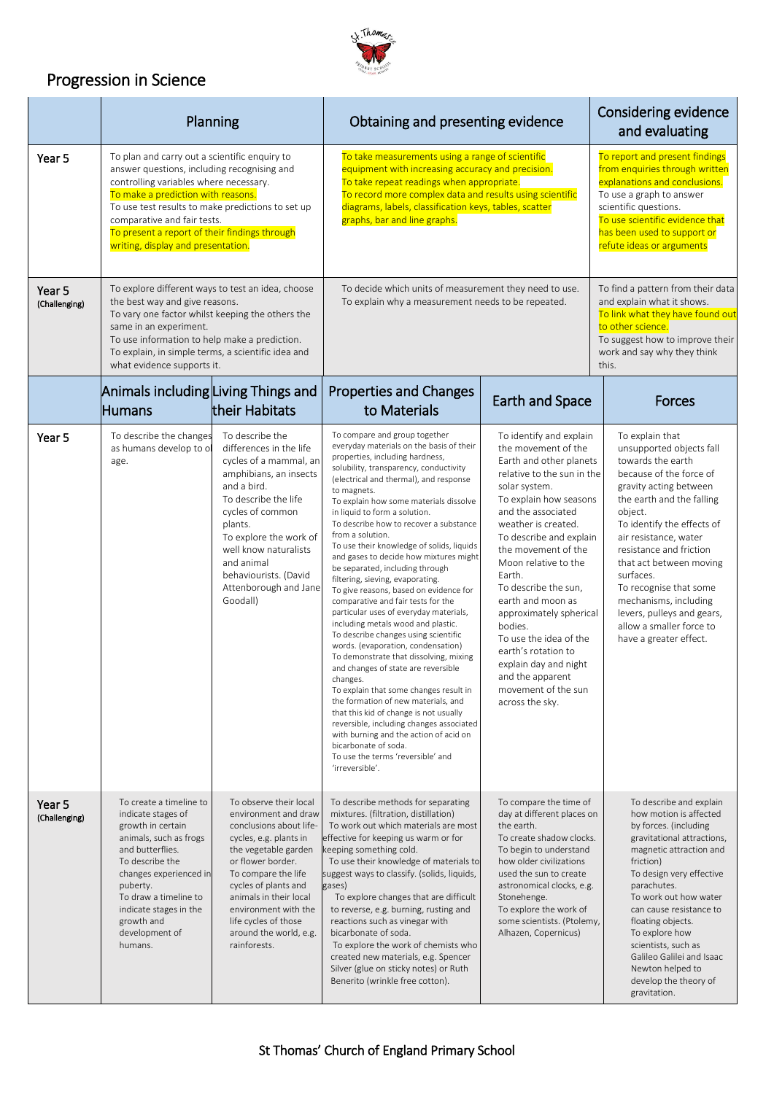

|                         |                                                                                                                                                                                                                                                                                                                                                         | Planning                                                                                                                                                                                                                                                                                                            | Obtaining and presenting evidence                                                                                                                                                                                                                                                                                                                                                                                                                                                                                                                                                                                                                                                                                                                                                                                                                                                                                                                                                                                                                                                                                                                                  |                                                                                                                                                                                                                                                                                                                                                                                                                                                                                                                | <b>Considering evidence</b><br>and evaluating                                                                                                                                                                                                                                                                                                                                                                                  |  |
|-------------------------|---------------------------------------------------------------------------------------------------------------------------------------------------------------------------------------------------------------------------------------------------------------------------------------------------------------------------------------------------------|---------------------------------------------------------------------------------------------------------------------------------------------------------------------------------------------------------------------------------------------------------------------------------------------------------------------|--------------------------------------------------------------------------------------------------------------------------------------------------------------------------------------------------------------------------------------------------------------------------------------------------------------------------------------------------------------------------------------------------------------------------------------------------------------------------------------------------------------------------------------------------------------------------------------------------------------------------------------------------------------------------------------------------------------------------------------------------------------------------------------------------------------------------------------------------------------------------------------------------------------------------------------------------------------------------------------------------------------------------------------------------------------------------------------------------------------------------------------------------------------------|----------------------------------------------------------------------------------------------------------------------------------------------------------------------------------------------------------------------------------------------------------------------------------------------------------------------------------------------------------------------------------------------------------------------------------------------------------------------------------------------------------------|--------------------------------------------------------------------------------------------------------------------------------------------------------------------------------------------------------------------------------------------------------------------------------------------------------------------------------------------------------------------------------------------------------------------------------|--|
| Year 5                  | To plan and carry out a scientific enquiry to<br>answer questions, including recognising and<br>controlling variables where necessary.<br>To make a prediction with reasons.<br>To use test results to make predictions to set up<br>comparative and fair tests.<br>To present a report of their findings through<br>writing, display and presentation. |                                                                                                                                                                                                                                                                                                                     | To take measurements using a range of scientific<br>equipment with increasing accuracy and precision.<br>To take repeat readings when appropriate.<br>To record more complex data and results using scientific<br>diagrams, labels, classification keys, tables, scatter<br>graphs, bar and line graphs.                                                                                                                                                                                                                                                                                                                                                                                                                                                                                                                                                                                                                                                                                                                                                                                                                                                           |                                                                                                                                                                                                                                                                                                                                                                                                                                                                                                                | To report and present findings<br>from enquiries through written<br>explanations and conclusions.<br>To use a graph to answer<br>scientific questions.<br>To use scientific evidence that<br>has been used to support or<br>refute ideas or arguments                                                                                                                                                                          |  |
| Year 5<br>(Challenging) | To explore different ways to test an idea, choose<br>the best way and give reasons.<br>To vary one factor whilst keeping the others the<br>same in an experiment.<br>To use information to help make a prediction.<br>To explain, in simple terms, a scientific idea and<br>what evidence supports it.                                                  |                                                                                                                                                                                                                                                                                                                     | To decide which units of measurement they need to use.<br>To explain why a measurement needs to be repeated.                                                                                                                                                                                                                                                                                                                                                                                                                                                                                                                                                                                                                                                                                                                                                                                                                                                                                                                                                                                                                                                       |                                                                                                                                                                                                                                                                                                                                                                                                                                                                                                                | To find a pattern from their data<br>and explain what it shows.<br>To link what they have found out<br>to other science.<br>To suggest how to improve their<br>work and say why they think<br>this.                                                                                                                                                                                                                            |  |
|                         | Animals including Living Things and<br><b>Humans</b>                                                                                                                                                                                                                                                                                                    | their Habitats                                                                                                                                                                                                                                                                                                      | <b>Properties and Changes</b><br>to Materials                                                                                                                                                                                                                                                                                                                                                                                                                                                                                                                                                                                                                                                                                                                                                                                                                                                                                                                                                                                                                                                                                                                      | <b>Earth and Space</b>                                                                                                                                                                                                                                                                                                                                                                                                                                                                                         | Forces                                                                                                                                                                                                                                                                                                                                                                                                                         |  |
| Year 5                  | To describe the changes<br>as humans develop to o<br>age.                                                                                                                                                                                                                                                                                               | To describe the<br>differences in the life<br>cycles of a mammal, an<br>amphibians, an insects<br>and a bird.<br>To describe the life<br>cycles of common<br>plants.<br>To explore the work of<br>well know naturalists<br>and animal<br>behaviourists. (David<br>Attenborough and Jane<br>Goodall)                 | To compare and group together<br>everyday materials on the basis of their<br>properties, including hardness,<br>solubility, transparency, conductivity<br>(electrical and thermal), and response<br>to magnets.<br>To explain how some materials dissolve<br>in liquid to form a solution.<br>To describe how to recover a substance<br>from a solution.<br>To use their knowledge of solids, liquids<br>and gases to decide how mixtures might<br>be separated, including through<br>filtering, sieving, evaporating.<br>To give reasons, based on evidence for<br>comparative and fair tests for the<br>particular uses of everyday materials,<br>including metals wood and plastic.<br>To describe changes using scientific<br>words. (evaporation, condensation)<br>To demonstrate that dissolving, mixing<br>and changes of state are reversible<br>changes.<br>To explain that some changes result in<br>the formation of new materials, and<br>that this kid of change is not usually<br>reversible, including changes associated<br>with burning and the action of acid on<br>bicarbonate of soda.<br>To use the terms 'reversible' and<br>'irreversible'. | To identify and explain<br>the movement of the<br>Earth and other planets<br>relative to the sun in the<br>solar system.<br>To explain how seasons<br>and the associated<br>weather is created.<br>To describe and explain<br>the movement of the<br>Moon relative to the<br>Earth.<br>To describe the sun,<br>earth and moon as<br>approximately spherical<br>bodies.<br>To use the idea of the<br>earth's rotation to<br>explain day and night<br>and the apparent<br>movement of the sun<br>across the sky. | To explain that<br>unsupported objects fall<br>towards the earth<br>because of the force of<br>gravity acting between<br>the earth and the falling<br>object.<br>To identify the effects of<br>air resistance, water<br>resistance and friction<br>that act between moving<br>surfaces.<br>To recognise that some<br>mechanisms, including<br>levers, pulleys and gears,<br>allow a smaller force to<br>have a greater effect. |  |
| Year 5<br>(Challenging) | To create a timeline to<br>indicate stages of<br>growth in certain<br>animals, such as frogs<br>and butterflies.<br>To describe the<br>changes experienced in<br>puberty.<br>To draw a timeline to<br>indicate stages in the<br>growth and<br>development of<br>humans.                                                                                 | To observe their local<br>environment and draw<br>conclusions about life-<br>cycles, e.g. plants in<br>the vegetable garden<br>or flower border.<br>To compare the life<br>cycles of plants and<br>animals in their local<br>environment with the<br>life cycles of those<br>around the world, e.g.<br>rainforests. | To describe methods for separating<br>mixtures. (filtration, distillation)<br>To work out which materials are most<br>effective for keeping us warm or for<br>keeping something cold.<br>To use their knowledge of materials to<br>suggest ways to classify. (solids, liquids,<br>gases)<br>To explore changes that are difficult<br>to reverse, e.g. burning, rusting and<br>reactions such as vinegar with<br>bicarbonate of soda.<br>To explore the work of chemists who<br>created new materials, e.g. Spencer<br>Silver (glue on sticky notes) or Ruth<br>Benerito (wrinkle free cotton).                                                                                                                                                                                                                                                                                                                                                                                                                                                                                                                                                                     | To compare the time of<br>day at different places on<br>the earth.<br>To create shadow clocks.<br>To begin to understand<br>how older civilizations<br>used the sun to create<br>astronomical clocks, e.g.<br>Stonehenge.<br>To explore the work of<br>some scientists. (Ptolemy,<br>Alhazen, Copernicus)                                                                                                                                                                                                      | To describe and explain<br>how motion is affected<br>by forces. (including<br>gravitational attractions,<br>magnetic attraction and<br>friction)<br>To design very effective<br>parachutes.<br>To work out how water<br>can cause resistance to<br>floating objects.<br>To explore how<br>scientists, such as<br>Galileo Galilei and Isaac<br>Newton helped to<br>develop the theory of<br>gravitation.                        |  |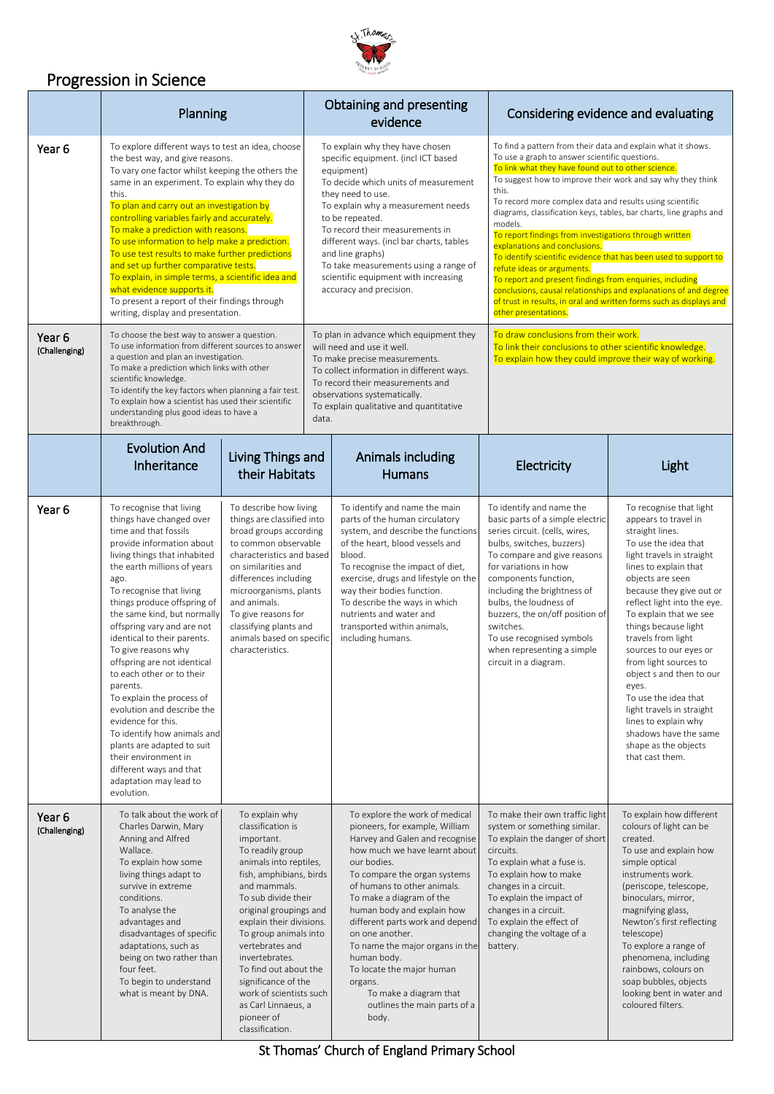

|                         | Planning                                                                                                                                                                                                                                                                                                                                                                                                                                                                                                                                                                                                                                                                         |                                                                                                                                                                                                                                                                                                                                                                                                                          |                                                                                                                                                                                                                                                                             | Obtaining and presenting<br>evidence                                                                                                                                                                                                                                                                                                                                                                                                                                                           | Considering evidence and evaluating                                                                                                                                                                                                                                                                                                                                                                                                                                                                                                                                                                                                                                                                                                                                                                                   |                                                                                                                                                                                                                                                                                                                                                                                                                                                                                                                                                  |  |
|-------------------------|----------------------------------------------------------------------------------------------------------------------------------------------------------------------------------------------------------------------------------------------------------------------------------------------------------------------------------------------------------------------------------------------------------------------------------------------------------------------------------------------------------------------------------------------------------------------------------------------------------------------------------------------------------------------------------|--------------------------------------------------------------------------------------------------------------------------------------------------------------------------------------------------------------------------------------------------------------------------------------------------------------------------------------------------------------------------------------------------------------------------|-----------------------------------------------------------------------------------------------------------------------------------------------------------------------------------------------------------------------------------------------------------------------------|------------------------------------------------------------------------------------------------------------------------------------------------------------------------------------------------------------------------------------------------------------------------------------------------------------------------------------------------------------------------------------------------------------------------------------------------------------------------------------------------|-----------------------------------------------------------------------------------------------------------------------------------------------------------------------------------------------------------------------------------------------------------------------------------------------------------------------------------------------------------------------------------------------------------------------------------------------------------------------------------------------------------------------------------------------------------------------------------------------------------------------------------------------------------------------------------------------------------------------------------------------------------------------------------------------------------------------|--------------------------------------------------------------------------------------------------------------------------------------------------------------------------------------------------------------------------------------------------------------------------------------------------------------------------------------------------------------------------------------------------------------------------------------------------------------------------------------------------------------------------------------------------|--|
| Year <sub>6</sub>       | To explore different ways to test an idea, choose<br>the best way, and give reasons.<br>To vary one factor whilst keeping the others the<br>same in an experiment. To explain why they do<br>this.<br>To plan and carry out an investigation by<br>controlling variables fairly and accurately.<br>To make a prediction with reasons.<br>To use information to help make a prediction.<br>To use test results to make further predictions<br>and set up further comparative tests.<br>To explain, in simple terms, a scientific idea and<br>what evidence supports it.<br>To present a report of their findings through<br>writing, display and presentation.                    |                                                                                                                                                                                                                                                                                                                                                                                                                          |                                                                                                                                                                                                                                                                             | To explain why they have chosen<br>specific equipment. (incl ICT based<br>equipment)<br>To decide which units of measurement<br>they need to use.<br>To explain why a measurement needs<br>to be repeated.<br>To record their measurements in<br>different ways. (incl bar charts, tables<br>and line graphs)<br>To take measurements using a range of<br>scientific equipment with increasing<br>accuracy and precision.                                                                      | To find a pattern from their data and explain what it shows.<br>To use a graph to answer scientific questions.<br>To link what they have found out to other science.<br>To suggest how to improve their work and say why they think<br>this.<br>To record more complex data and results using scientific<br>diagrams, classification keys, tables, bar charts, line graphs and<br>models.<br>To report findings from investigations through written<br>explanations and conclusions.<br>To identify scientific evidence that has been used to support to<br>refute ideas or arguments.<br>To report and present findings from enquiries, including<br>conclusions, causal relationships and explanations of and degree<br>of trust in results, in oral and written forms such as displays and<br>other presentations. |                                                                                                                                                                                                                                                                                                                                                                                                                                                                                                                                                  |  |
| Year 6<br>(Challenging) | To choose the best way to answer a question.<br>To use information from different sources to answer<br>a question and plan an investigation.<br>To make a prediction which links with other<br>scientific knowledge.<br>To identify the key factors when planning a fair test.<br>To explain how a scientist has used their scientific<br>understanding plus good ideas to have a<br>breakthrough.                                                                                                                                                                                                                                                                               |                                                                                                                                                                                                                                                                                                                                                                                                                          | To plan in advance which equipment they<br>will need and use it well.<br>To make precise measurements.<br>To collect information in different ways.<br>To record their measurements and<br>observations systematically.<br>To explain qualitative and quantitative<br>data. |                                                                                                                                                                                                                                                                                                                                                                                                                                                                                                | To draw conclusions from their work.<br>To link their conclusions to other scientific knowledge.<br>To explain how they could improve their way of working.                                                                                                                                                                                                                                                                                                                                                                                                                                                                                                                                                                                                                                                           |                                                                                                                                                                                                                                                                                                                                                                                                                                                                                                                                                  |  |
|                         | <b>Evolution And</b><br>Inheritance                                                                                                                                                                                                                                                                                                                                                                                                                                                                                                                                                                                                                                              | Living Things and<br>their Habitats                                                                                                                                                                                                                                                                                                                                                                                      |                                                                                                                                                                                                                                                                             | Animals including<br><b>Humans</b>                                                                                                                                                                                                                                                                                                                                                                                                                                                             | Electricity                                                                                                                                                                                                                                                                                                                                                                                                                                                                                                                                                                                                                                                                                                                                                                                                           | Light                                                                                                                                                                                                                                                                                                                                                                                                                                                                                                                                            |  |
| Year 6                  | To recognise that living<br>things have changed over<br>time and that fossils<br>provide information about<br>living things that inhabited<br>the earth millions of years<br>ago.<br>To recognise that living<br>things produce offspring of<br>the same kind, but normally<br>offspring vary and are not<br>identical to their parents.<br>To give reasons why<br>offspring are not identical<br>to each other or to their<br>parents.<br>To explain the process of<br>evolution and describe the<br>evidence for this.<br>To identify how animals and<br>plants are adapted to suit<br>their environment in<br>different ways and that<br>adaptation may lead to<br>evolution. | To describe how living<br>things are classified into<br>broad groups according<br>to common observable<br>characteristics and based<br>on similarities and<br>differences including<br>microorganisms, plants<br>and animals.<br>To give reasons for<br>classifying plants and<br>animals based on specific<br>characteristics.                                                                                          |                                                                                                                                                                                                                                                                             | To identify and name the main<br>parts of the human circulatory<br>system, and describe the functions<br>of the heart, blood vessels and<br>blood.<br>To recognise the impact of diet,<br>exercise, drugs and lifestyle on the<br>way their bodies function.<br>To describe the ways in which<br>nutrients and water and<br>transported within animals,<br>including humans.                                                                                                                   | To identify and name the<br>basic parts of a simple electric<br>series circuit. (cells, wires,<br>bulbs, switches, buzzers)<br>To compare and give reasons<br>for variations in how<br>components function,<br>including the brightness of<br>bulbs, the loudness of<br>buzzers, the on/off position of<br>switches.<br>To use recognised symbols<br>when representing a simple<br>circuit in a diagram.                                                                                                                                                                                                                                                                                                                                                                                                              | To recognise that light<br>appears to travel in<br>straight lines.<br>To use the idea that<br>light travels in straight<br>lines to explain that<br>objects are seen<br>because they give out or<br>reflect light into the eye.<br>To explain that we see<br>things because light<br>travels from light<br>sources to our eyes or<br>from light sources to<br>object s and then to our<br>eyes.<br>To use the idea that<br>light travels in straight<br>lines to explain why<br>shadows have the same<br>shape as the objects<br>that cast them. |  |
| Year 6<br>(Challenging) | To talk about the work of<br>Charles Darwin, Mary<br>Anning and Alfred<br>Wallace.<br>To explain how some<br>living things adapt to<br>survive in extreme<br>conditions.<br>To analyse the<br>advantages and<br>disadvantages of specific<br>adaptations, such as<br>being on two rather than<br>four feet.<br>To begin to understand<br>what is meant by DNA.                                                                                                                                                                                                                                                                                                                   | To explain why<br>classification is<br>important.<br>To readily group<br>animals into reptiles,<br>fish, amphibians, birds<br>and mammals.<br>To sub divide their<br>original groupings and<br>explain their divisions.<br>To group animals into<br>vertebrates and<br>invertebrates.<br>To find out about the<br>significance of the<br>work of scientists such<br>as Carl Linnaeus, a<br>pioneer of<br>classification. |                                                                                                                                                                                                                                                                             | To explore the work of medical<br>pioneers, for example, William<br>Harvey and Galen and recognise<br>how much we have learnt about<br>our bodies.<br>To compare the organ systems<br>of humans to other animals.<br>To make a diagram of the<br>human body and explain how<br>different parts work and depend<br>on one another.<br>To name the major organs in the<br>human body.<br>To locate the major human<br>organs.<br>To make a diagram that<br>outlines the main parts of a<br>body. | To make their own traffic light<br>system or something similar.<br>To explain the danger of short<br>circuits.<br>To explain what a fuse is.<br>To explain how to make<br>changes in a circuit.<br>To explain the impact of<br>changes in a circuit.<br>To explain the effect of<br>changing the voltage of a<br>battery.                                                                                                                                                                                                                                                                                                                                                                                                                                                                                             | To explain how different<br>colours of light can be<br>created.<br>To use and explain how<br>simple optical<br>instruments work.<br>(periscope, telescope,<br>binoculars, mirror,<br>magnifying glass,<br>Newton's first reflecting<br>telescope)<br>To explore a range of<br>phenomena, including<br>rainbows, colours on<br>soap bubbles, objects<br>looking bent in water and<br>coloured filters.                                                                                                                                            |  |

St Thomas' Church of England Primary School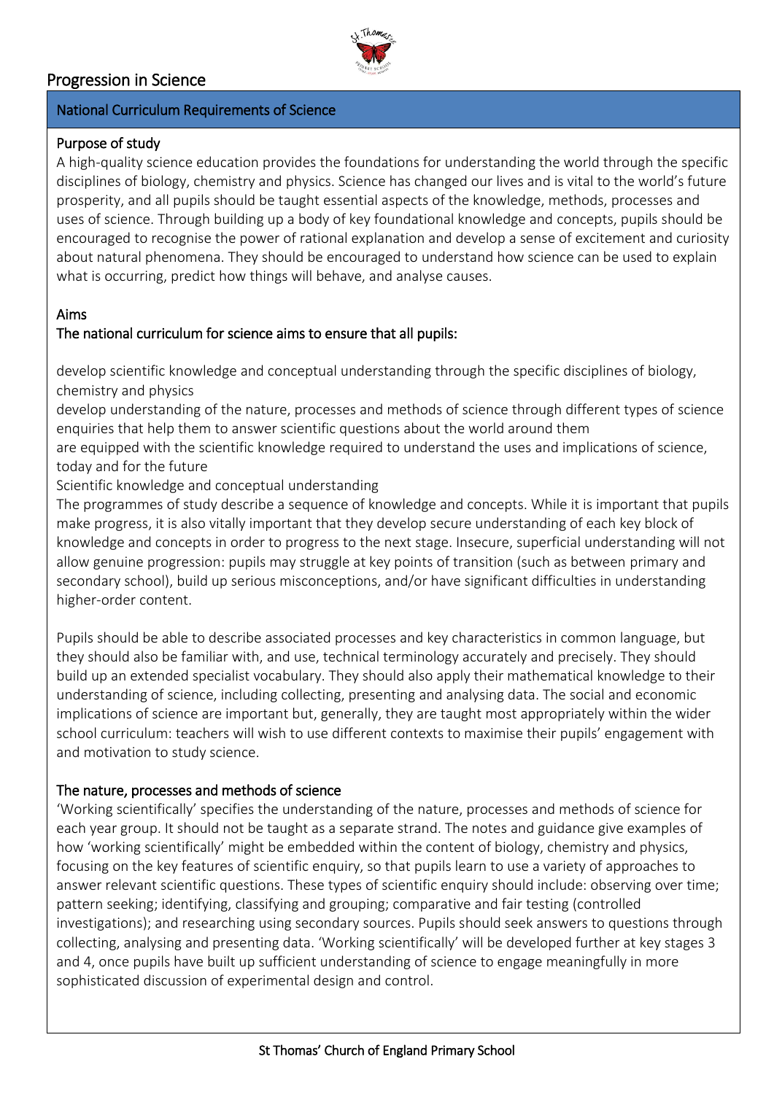

#### National Curriculum Requirements of Science

#### Purpose of study

A high-quality science education provides the foundations for understanding the world through the specific disciplines of biology, chemistry and physics. Science has changed our lives and is vital to the world's future prosperity, and all pupils should be taught essential aspects of the knowledge, methods, processes and uses of science. Through building up a body of key foundational knowledge and concepts, pupils should be encouraged to recognise the power of rational explanation and develop a sense of excitement and curiosity about natural phenomena. They should be encouraged to understand how science can be used to explain what is occurring, predict how things will behave, and analyse causes.

#### Aims

#### The national curriculum for science aims to ensure that all pupils:

develop scientific knowledge and conceptual understanding through the specific disciplines of biology, chemistry and physics

develop understanding of the nature, processes and methods of science through different types of science enquiries that help them to answer scientific questions about the world around them

are equipped with the scientific knowledge required to understand the uses and implications of science, today and for the future

Scientific knowledge and conceptual understanding

The programmes of study describe a sequence of knowledge and concepts. While it is important that pupils make progress, it is also vitally important that they develop secure understanding of each key block of knowledge and concepts in order to progress to the next stage. Insecure, superficial understanding will not allow genuine progression: pupils may struggle at key points of transition (such as between primary and secondary school), build up serious misconceptions, and/or have significant difficulties in understanding higher-order content.

Pupils should be able to describe associated processes and key characteristics in common language, but they should also be familiar with, and use, technical terminology accurately and precisely. They should build up an extended specialist vocabulary. They should also apply their mathematical knowledge to their understanding of science, including collecting, presenting and analysing data. The social and economic implications of science are important but, generally, they are taught most appropriately within the wider school curriculum: teachers will wish to use different contexts to maximise their pupils' engagement with and motivation to study science.

#### The nature, processes and methods of science

'Working scientifically' specifies the understanding of the nature, processes and methods of science for each year group. It should not be taught as a separate strand. The notes and guidance give examples of how 'working scientifically' might be embedded within the content of biology, chemistry and physics, focusing on the key features of scientific enquiry, so that pupils learn to use a variety of approaches to answer relevant scientific questions. These types of scientific enquiry should include: observing over time; pattern seeking; identifying, classifying and grouping; comparative and fair testing (controlled investigations); and researching using secondary sources. Pupils should seek answers to questions through collecting, analysing and presenting data. 'Working scientifically' will be developed further at key stages 3 and 4, once pupils have built up sufficient understanding of science to engage meaningfully in more sophisticated discussion of experimental design and control.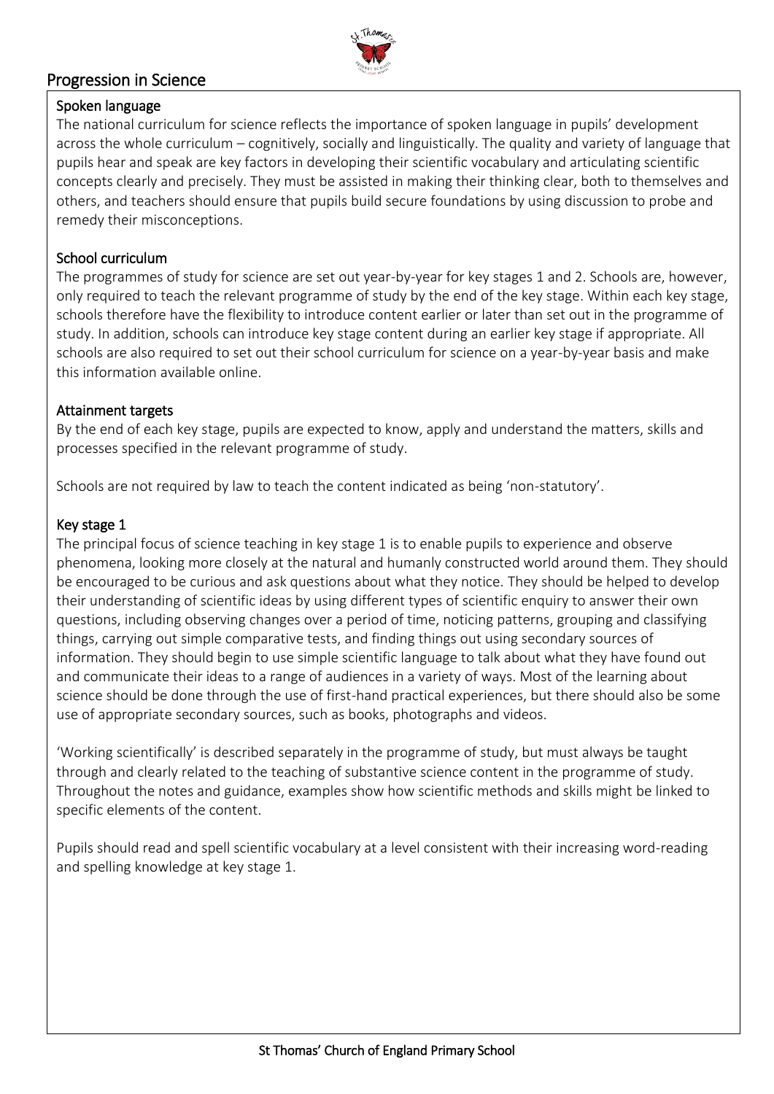

### Spoken language

The national curriculum for science reflects the importance of spoken language in pupils' development across the whole curriculum – cognitively, socially and linguistically. The quality and variety of language that pupils hear and speak are key factors in developing their scientific vocabulary and articulating scientific concepts clearly and precisely. They must be assisted in making their thinking clear, both to themselves and others, and teachers should ensure that pupils build secure foundations by using discussion to probe and remedy their misconceptions.

#### School curriculum

The programmes of study for science are set out year-by-year for key stages 1 and 2. Schools are, however, only required to teach the relevant programme of study by the end of the key stage. Within each key stage, schools therefore have the flexibility to introduce content earlier or later than set out in the programme of study. In addition, schools can introduce key stage content during an earlier key stage if appropriate. All schools are also required to set out their school curriculum for science on a year-by-year basis and make this information available online.

#### Attainment targets

By the end of each key stage, pupils are expected to know, apply and understand the matters, skills and processes specified in the relevant programme of study.

Schools are not required by law to teach the content indicated as being 'non-statutory'.

#### Key stage 1

The principal focus of science teaching in key stage 1 is to enable pupils to experience and observe phenomena, looking more closely at the natural and humanly constructed world around them. They should be encouraged to be curious and ask questions about what they notice. They should be helped to develop their understanding of scientific ideas by using different types of scientific enquiry to answer their own questions, including observing changes over a period of time, noticing patterns, grouping and classifying things, carrying out simple comparative tests, and finding things out using secondary sources of information. They should begin to use simple scientific language to talk about what they have found out and communicate their ideas to a range of audiences in a variety of ways. Most of the learning about science should be done through the use of first-hand practical experiences, but there should also be some use of appropriate secondary sources, such as books, photographs and videos.

'Working scientifically' is described separately in the programme of study, but must always be taught through and clearly related to the teaching of substantive science content in the programme of study. Throughout the notes and guidance, examples show how scientific methods and skills might be linked to specific elements of the content.

Pupils should read and spell scientific vocabulary at a level consistent with their increasing word-reading and spelling knowledge at key stage 1.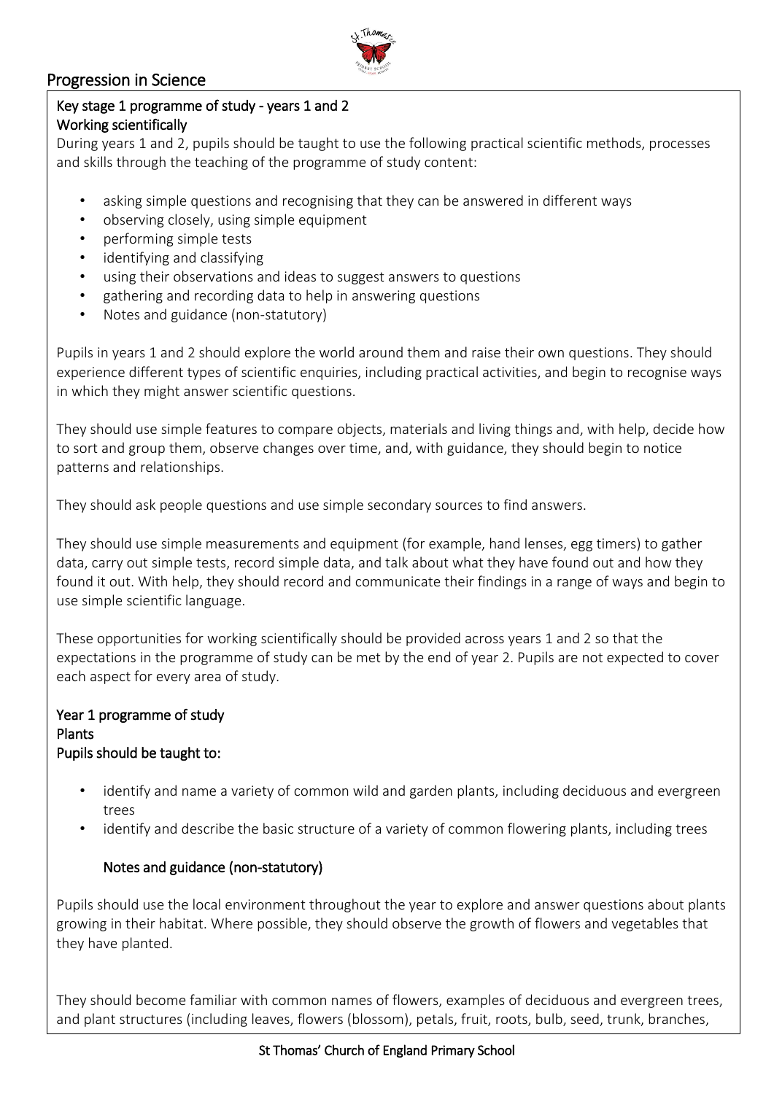

# Key stage 1 programme of study - years 1 and 2 Working scientifically

During years 1 and 2, pupils should be taught to use the following practical scientific methods, processes and skills through the teaching of the programme of study content:

- asking simple questions and recognising that they can be answered in different ways
- observing closely, using simple equipment
- performing simple tests
- identifying and classifying
- using their observations and ideas to suggest answers to questions
- gathering and recording data to help in answering questions
- Notes and guidance (non-statutory)

Pupils in years 1 and 2 should explore the world around them and raise their own questions. They should experience different types of scientific enquiries, including practical activities, and begin to recognise ways in which they might answer scientific questions.

They should use simple features to compare objects, materials and living things and, with help, decide how to sort and group them, observe changes over time, and, with guidance, they should begin to notice patterns and relationships.

They should ask people questions and use simple secondary sources to find answers.

They should use simple measurements and equipment (for example, hand lenses, egg timers) to gather data, carry out simple tests, record simple data, and talk about what they have found out and how they found it out. With help, they should record and communicate their findings in a range of ways and begin to use simple scientific language.

These opportunities for working scientifically should be provided across years 1 and 2 so that the expectations in the programme of study can be met by the end of year 2. Pupils are not expected to cover each aspect for every area of study.

#### Year 1 programme of study **Plants** Pupils should be taught to:

- identify and name a variety of common wild and garden plants, including deciduous and evergreen trees
- identify and describe the basic structure of a variety of common flowering plants, including trees

#### Notes and guidance (non-statutory)

Pupils should use the local environment throughout the year to explore and answer questions about plants growing in their habitat. Where possible, they should observe the growth of flowers and vegetables that they have planted.

They should become familiar with common names of flowers, examples of deciduous and evergreen trees, and plant structures (including leaves, flowers (blossom), petals, fruit, roots, bulb, seed, trunk, branches,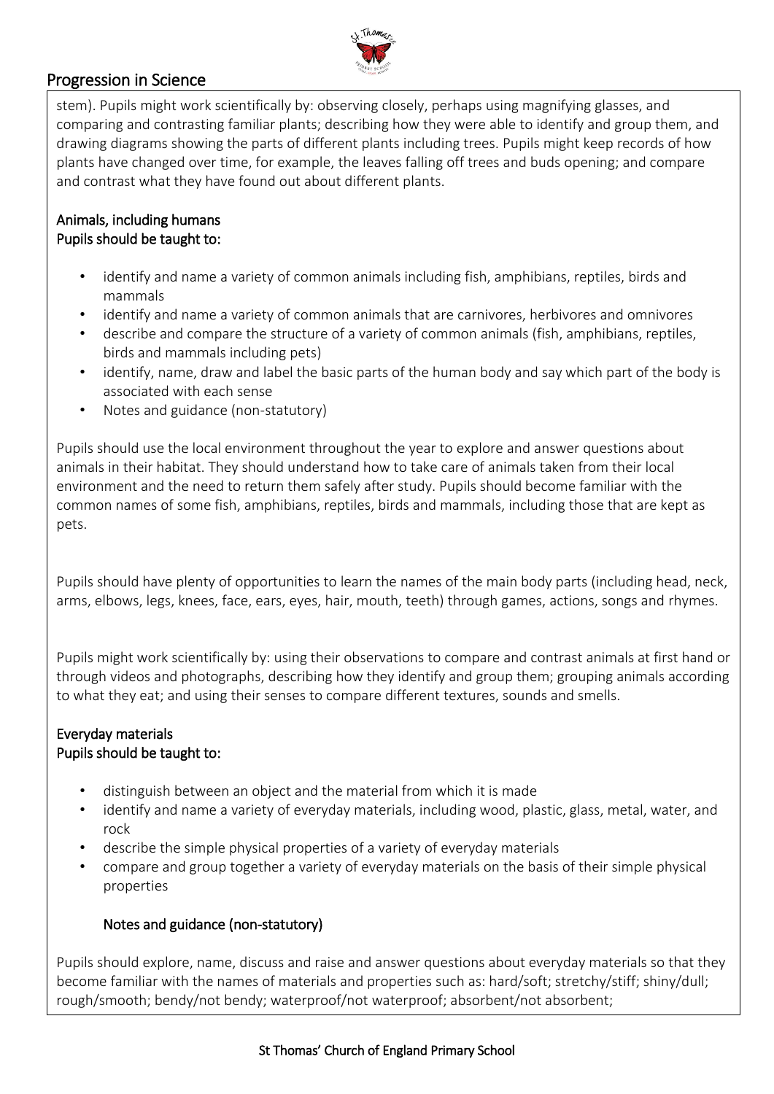

stem). Pupils might work scientifically by: observing closely, perhaps using magnifying glasses, and comparing and contrasting familiar plants; describing how they were able to identify and group them, and drawing diagrams showing the parts of different plants including trees. Pupils might keep records of how plants have changed over time, for example, the leaves falling off trees and buds opening; and compare and contrast what they have found out about different plants.

#### Animals, including humans Pupils should be taught to:

- identify and name a variety of common animals including fish, amphibians, reptiles, birds and mammals
- identify and name a variety of common animals that are carnivores, herbivores and omnivores
- describe and compare the structure of a variety of common animals (fish, amphibians, reptiles, birds and mammals including pets)
- identify, name, draw and label the basic parts of the human body and say which part of the body is associated with each sense
- Notes and guidance (non-statutory)

Pupils should use the local environment throughout the year to explore and answer questions about animals in their habitat. They should understand how to take care of animals taken from their local environment and the need to return them safely after study. Pupils should become familiar with the common names of some fish, amphibians, reptiles, birds and mammals, including those that are kept as pets.

Pupils should have plenty of opportunities to learn the names of the main body parts (including head, neck, arms, elbows, legs, knees, face, ears, eyes, hair, mouth, teeth) through games, actions, songs and rhymes.

Pupils might work scientifically by: using their observations to compare and contrast animals at first hand or through videos and photographs, describing how they identify and group them; grouping animals according to what they eat; and using their senses to compare different textures, sounds and smells.

#### Everyday materials Pupils should be taught to:

- distinguish between an object and the material from which it is made
- identify and name a variety of everyday materials, including wood, plastic, glass, metal, water, and rock
- describe the simple physical properties of a variety of everyday materials
- compare and group together a variety of everyday materials on the basis of their simple physical properties

# Notes and guidance (non-statutory)

Pupils should explore, name, discuss and raise and answer questions about everyday materials so that they become familiar with the names of materials and properties such as: hard/soft; stretchy/stiff; shiny/dull; rough/smooth; bendy/not bendy; waterproof/not waterproof; absorbent/not absorbent;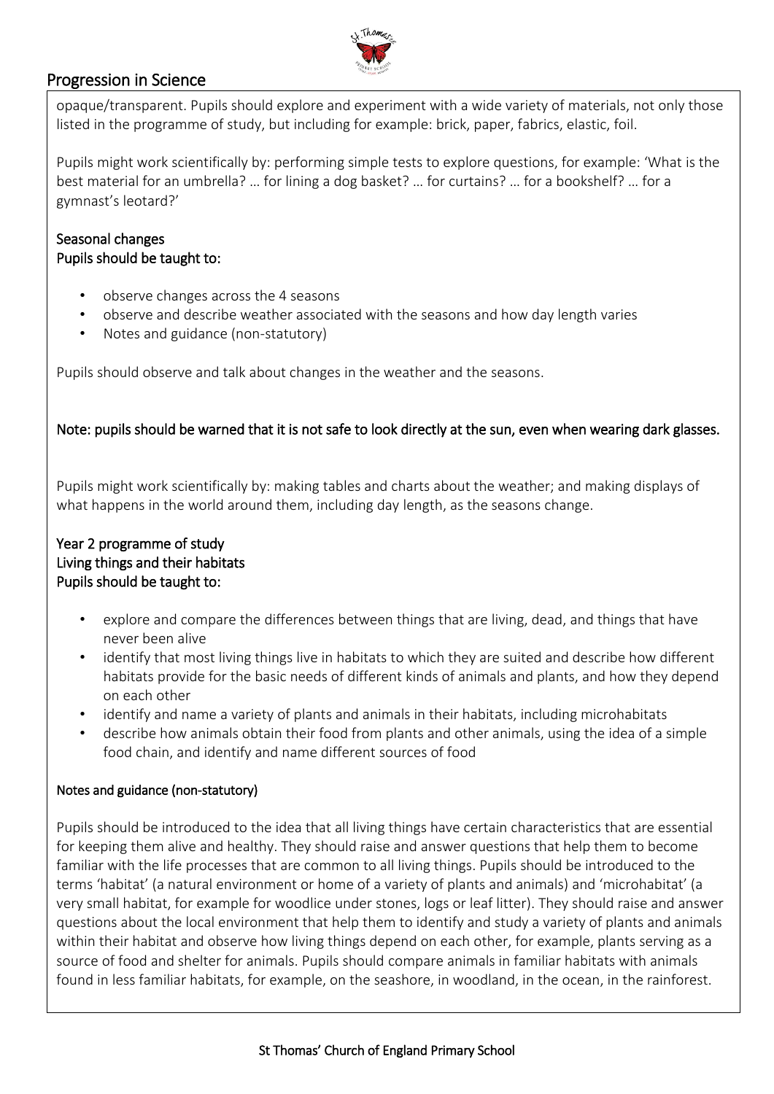

opaque/transparent. Pupils should explore and experiment with a wide variety of materials, not only those listed in the programme of study, but including for example: brick, paper, fabrics, elastic, foil.

Pupils might work scientifically by: performing simple tests to explore questions, for example: 'What is the best material for an umbrella? … for lining a dog basket? … for curtains? … for a bookshelf? … for a gymnast's leotard?'

#### Seasonal changes Pupils should be taught to:

- observe changes across the 4 seasons
- observe and describe weather associated with the seasons and how day length varies
- Notes and guidance (non-statutory)

Pupils should observe and talk about changes in the weather and the seasons.

#### Note: pupils should be warned that it is not safe to look directly at the sun, even when wearing dark glasses.

Pupils might work scientifically by: making tables and charts about the weather; and making displays of what happens in the world around them, including day length, as the seasons change.

#### Year 2 programme of study Living things and their habitats Pupils should be taught to:

- explore and compare the differences between things that are living, dead, and things that have never been alive
- identify that most living things live in habitats to which they are suited and describe how different habitats provide for the basic needs of different kinds of animals and plants, and how they depend on each other
- identify and name a variety of plants and animals in their habitats, including microhabitats
- describe how animals obtain their food from plants and other animals, using the idea of a simple food chain, and identify and name different sources of food

#### Notes and guidance (non-statutory)

Pupils should be introduced to the idea that all living things have certain characteristics that are essential for keeping them alive and healthy. They should raise and answer questions that help them to become familiar with the life processes that are common to all living things. Pupils should be introduced to the terms 'habitat' (a natural environment or home of a variety of plants and animals) and 'microhabitat' (a very small habitat, for example for woodlice under stones, logs or leaf litter). They should raise and answer questions about the local environment that help them to identify and study a variety of plants and animals within their habitat and observe how living things depend on each other, for example, plants serving as a source of food and shelter for animals. Pupils should compare animals in familiar habitats with animals found in less familiar habitats, for example, on the seashore, in woodland, in the ocean, in the rainforest.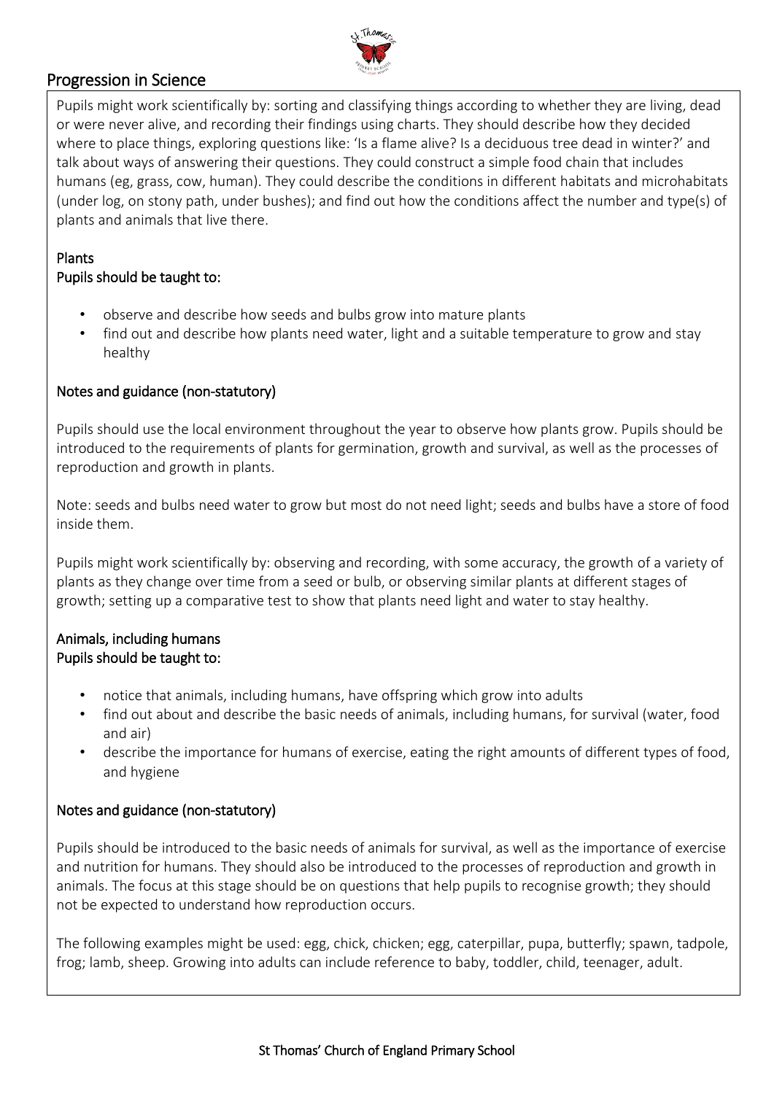

Pupils might work scientifically by: sorting and classifying things according to whether they are living, dead or were never alive, and recording their findings using charts. They should describe how they decided where to place things, exploring questions like: 'Is a flame alive? Is a deciduous tree dead in winter?' and talk about ways of answering their questions. They could construct a simple food chain that includes humans (eg, grass, cow, human). They could describe the conditions in different habitats and microhabitats (under log, on stony path, under bushes); and find out how the conditions affect the number and type(s) of plants and animals that live there.

#### Plants

#### Pupils should be taught to:

- observe and describe how seeds and bulbs grow into mature plants
- find out and describe how plants need water, light and a suitable temperature to grow and stay healthy

#### Notes and guidance (non-statutory)

Pupils should use the local environment throughout the year to observe how plants grow. Pupils should be introduced to the requirements of plants for germination, growth and survival, as well as the processes of reproduction and growth in plants.

Note: seeds and bulbs need water to grow but most do not need light; seeds and bulbs have a store of food inside them.

Pupils might work scientifically by: observing and recording, with some accuracy, the growth of a variety of plants as they change over time from a seed or bulb, or observing similar plants at different stages of growth; setting up a comparative test to show that plants need light and water to stay healthy.

#### Animals, including humans Pupils should be taught to:

- notice that animals, including humans, have offspring which grow into adults
- find out about and describe the basic needs of animals, including humans, for survival (water, food and air)
- describe the importance for humans of exercise, eating the right amounts of different types of food, and hygiene

# Notes and guidance (non-statutory)

Pupils should be introduced to the basic needs of animals for survival, as well as the importance of exercise and nutrition for humans. They should also be introduced to the processes of reproduction and growth in animals. The focus at this stage should be on questions that help pupils to recognise growth; they should not be expected to understand how reproduction occurs.

The following examples might be used: egg, chick, chicken; egg, caterpillar, pupa, butterfly; spawn, tadpole, frog; lamb, sheep. Growing into adults can include reference to baby, toddler, child, teenager, adult.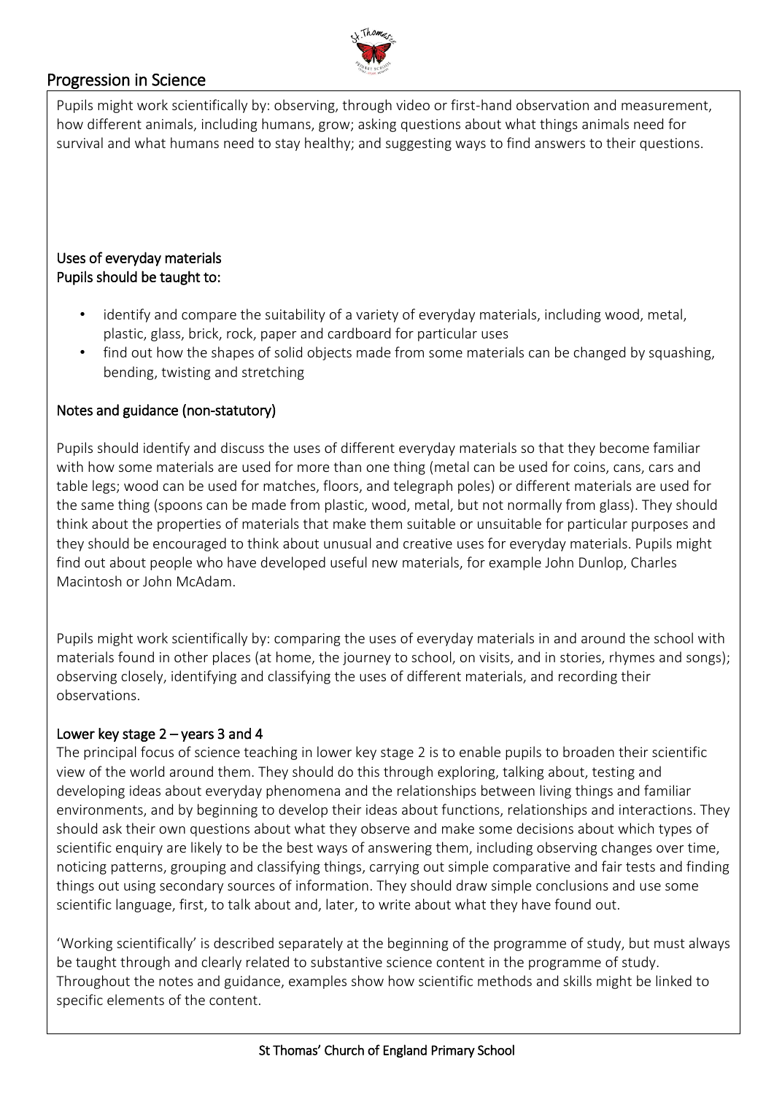

Pupils might work scientifically by: observing, through video or first-hand observation and measurement, how different animals, including humans, grow; asking questions about what things animals need for survival and what humans need to stay healthy; and suggesting ways to find answers to their questions.

#### Uses of everyday materials Pupils should be taught to:

- identify and compare the suitability of a variety of everyday materials, including wood, metal, plastic, glass, brick, rock, paper and cardboard for particular uses
- find out how the shapes of solid objects made from some materials can be changed by squashing, bending, twisting and stretching

#### Notes and guidance (non-statutory)

Pupils should identify and discuss the uses of different everyday materials so that they become familiar with how some materials are used for more than one thing (metal can be used for coins, cans, cars and table legs; wood can be used for matches, floors, and telegraph poles) or different materials are used for the same thing (spoons can be made from plastic, wood, metal, but not normally from glass). They should think about the properties of materials that make them suitable or unsuitable for particular purposes and they should be encouraged to think about unusual and creative uses for everyday materials. Pupils might find out about people who have developed useful new materials, for example John Dunlop, Charles Macintosh or John McAdam.

Pupils might work scientifically by: comparing the uses of everyday materials in and around the school with materials found in other places (at home, the journey to school, on visits, and in stories, rhymes and songs); observing closely, identifying and classifying the uses of different materials, and recording their observations.

#### Lower key stage  $2 -$  years 3 and 4

The principal focus of science teaching in lower key stage 2 is to enable pupils to broaden their scientific view of the world around them. They should do this through exploring, talking about, testing and developing ideas about everyday phenomena and the relationships between living things and familiar environments, and by beginning to develop their ideas about functions, relationships and interactions. They should ask their own questions about what they observe and make some decisions about which types of scientific enquiry are likely to be the best ways of answering them, including observing changes over time, noticing patterns, grouping and classifying things, carrying out simple comparative and fair tests and finding things out using secondary sources of information. They should draw simple conclusions and use some scientific language, first, to talk about and, later, to write about what they have found out.

'Working scientifically' is described separately at the beginning of the programme of study, but must always be taught through and clearly related to substantive science content in the programme of study. Throughout the notes and guidance, examples show how scientific methods and skills might be linked to specific elements of the content.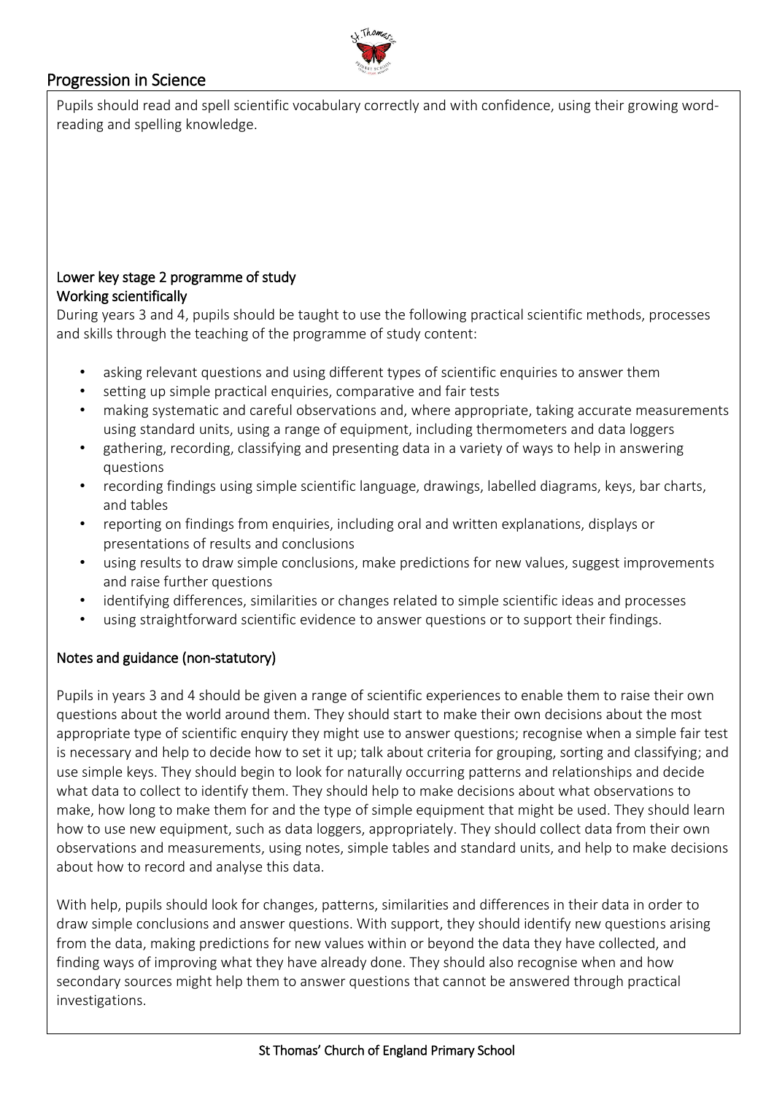

Pupils should read and spell scientific vocabulary correctly and with confidence, using their growing wordreading and spelling knowledge.

#### Lower key stage 2 programme of study Working scientifically

During years 3 and 4, pupils should be taught to use the following practical scientific methods, processes and skills through the teaching of the programme of study content:

- asking relevant questions and using different types of scientific enquiries to answer them
- setting up simple practical enquiries, comparative and fair tests
- making systematic and careful observations and, where appropriate, taking accurate measurements using standard units, using a range of equipment, including thermometers and data loggers
- gathering, recording, classifying and presenting data in a variety of ways to help in answering questions
- recording findings using simple scientific language, drawings, labelled diagrams, keys, bar charts, and tables
- reporting on findings from enquiries, including oral and written explanations, displays or presentations of results and conclusions
- using results to draw simple conclusions, make predictions for new values, suggest improvements and raise further questions
- identifying differences, similarities or changes related to simple scientific ideas and processes
- using straightforward scientific evidence to answer questions or to support their findings.

# Notes and guidance (non-statutory)

Pupils in years 3 and 4 should be given a range of scientific experiences to enable them to raise their own questions about the world around them. They should start to make their own decisions about the most appropriate type of scientific enquiry they might use to answer questions; recognise when a simple fair test is necessary and help to decide how to set it up; talk about criteria for grouping, sorting and classifying; and use simple keys. They should begin to look for naturally occurring patterns and relationships and decide what data to collect to identify them. They should help to make decisions about what observations to make, how long to make them for and the type of simple equipment that might be used. They should learn how to use new equipment, such as data loggers, appropriately. They should collect data from their own observations and measurements, using notes, simple tables and standard units, and help to make decisions about how to record and analyse this data.

With help, pupils should look for changes, patterns, similarities and differences in their data in order to draw simple conclusions and answer questions. With support, they should identify new questions arising from the data, making predictions for new values within or beyond the data they have collected, and finding ways of improving what they have already done. They should also recognise when and how secondary sources might help them to answer questions that cannot be answered through practical investigations.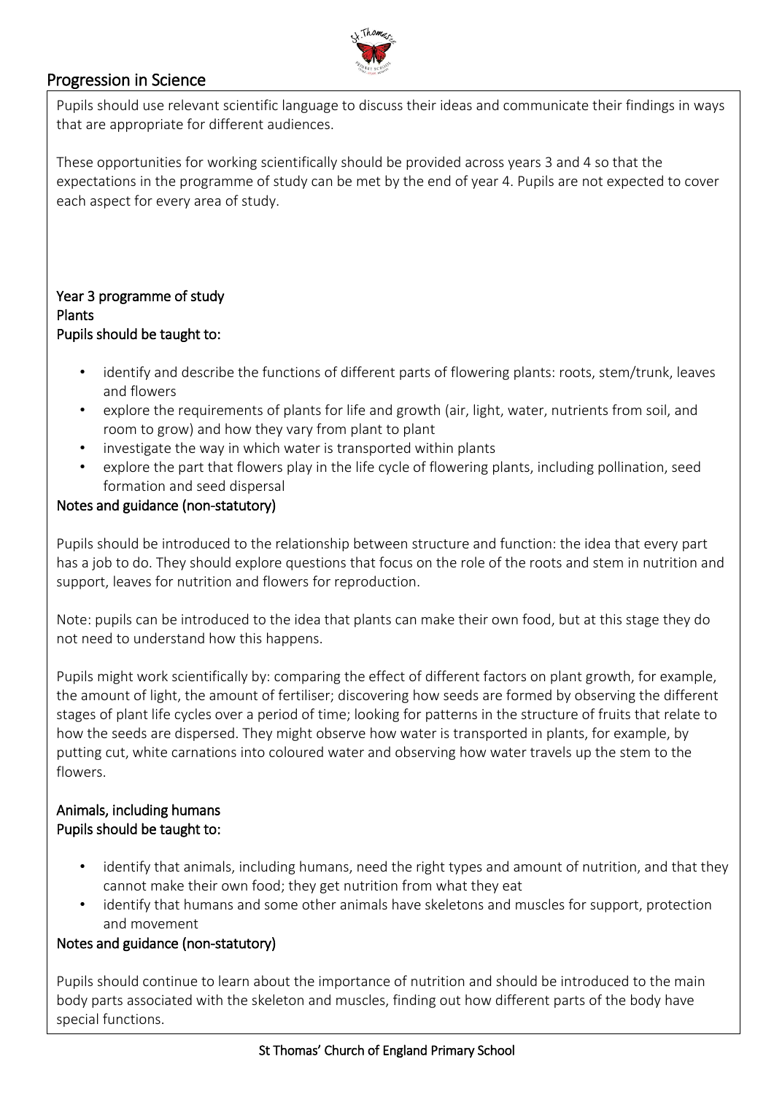

Pupils should use relevant scientific language to discuss their ideas and communicate their findings in ways that are appropriate for different audiences.

These opportunities for working scientifically should be provided across years 3 and 4 so that the expectations in the programme of study can be met by the end of year 4. Pupils are not expected to cover each aspect for every area of study.

#### Year 3 programme of study Plants Pupils should be taught to:

- identify and describe the functions of different parts of flowering plants: roots, stem/trunk, leaves and flowers
- explore the requirements of plants for life and growth (air, light, water, nutrients from soil, and room to grow) and how they vary from plant to plant
- investigate the way in which water is transported within plants
- explore the part that flowers play in the life cycle of flowering plants, including pollination, seed formation and seed dispersal

#### Notes and guidance (non-statutory)

Pupils should be introduced to the relationship between structure and function: the idea that every part has a job to do. They should explore questions that focus on the role of the roots and stem in nutrition and support, leaves for nutrition and flowers for reproduction.

Note: pupils can be introduced to the idea that plants can make their own food, but at this stage they do not need to understand how this happens.

Pupils might work scientifically by: comparing the effect of different factors on plant growth, for example, the amount of light, the amount of fertiliser; discovering how seeds are formed by observing the different stages of plant life cycles over a period of time; looking for patterns in the structure of fruits that relate to how the seeds are dispersed. They might observe how water is transported in plants, for example, by putting cut, white carnations into coloured water and observing how water travels up the stem to the flowers.

#### Animals, including humans Pupils should be taught to:

- identify that animals, including humans, need the right types and amount of nutrition, and that they cannot make their own food; they get nutrition from what they eat
- identify that humans and some other animals have skeletons and muscles for support, protection and movement

# Notes and guidance (non-statutory)

Pupils should continue to learn about the importance of nutrition and should be introduced to the main body parts associated with the skeleton and muscles, finding out how different parts of the body have special functions.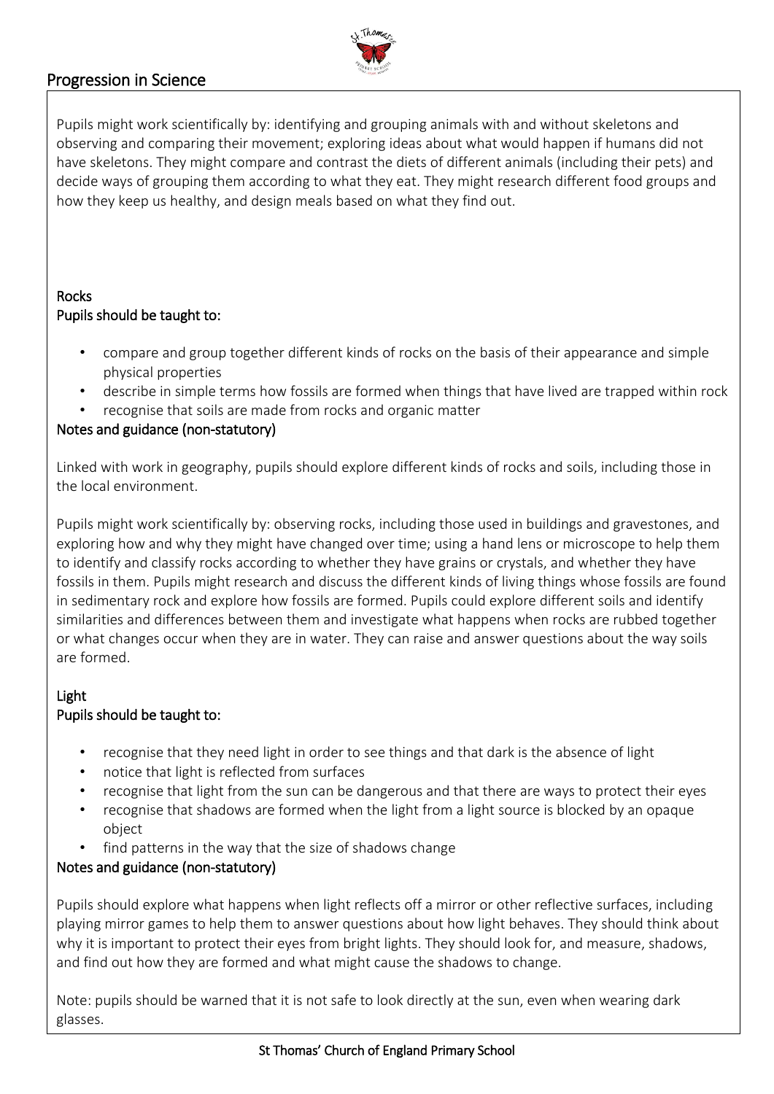

Pupils might work scientifically by: identifying and grouping animals with and without skeletons and observing and comparing their movement; exploring ideas about what would happen if humans did not have skeletons. They might compare and contrast the diets of different animals (including their pets) and decide ways of grouping them according to what they eat. They might research different food groups and how they keep us healthy, and design meals based on what they find out.

# Rocks Pupils should be taught to:

- compare and group together different kinds of rocks on the basis of their appearance and simple physical properties
- describe in simple terms how fossils are formed when things that have lived are trapped within rock
- recognise that soils are made from rocks and organic matter

#### Notes and guidance (non-statutory)

Linked with work in geography, pupils should explore different kinds of rocks and soils, including those in the local environment.

Pupils might work scientifically by: observing rocks, including those used in buildings and gravestones, and exploring how and why they might have changed over time; using a hand lens or microscope to help them to identify and classify rocks according to whether they have grains or crystals, and whether they have fossils in them. Pupils might research and discuss the different kinds of living things whose fossils are found in sedimentary rock and explore how fossils are formed. Pupils could explore different soils and identify similarities and differences between them and investigate what happens when rocks are rubbed together or what changes occur when they are in water. They can raise and answer questions about the way soils are formed.

#### Light

#### Pupils should be taught to:

- recognise that they need light in order to see things and that dark is the absence of light
- notice that light is reflected from surfaces
- recognise that light from the sun can be dangerous and that there are ways to protect their eyes
- recognise that shadows are formed when the light from a light source is blocked by an opaque object
- find patterns in the way that the size of shadows change

#### Notes and guidance (non-statutory)

Pupils should explore what happens when light reflects off a mirror or other reflective surfaces, including playing mirror games to help them to answer questions about how light behaves. They should think about why it is important to protect their eyes from bright lights. They should look for, and measure, shadows, and find out how they are formed and what might cause the shadows to change.

Note: pupils should be warned that it is not safe to look directly at the sun, even when wearing dark glasses.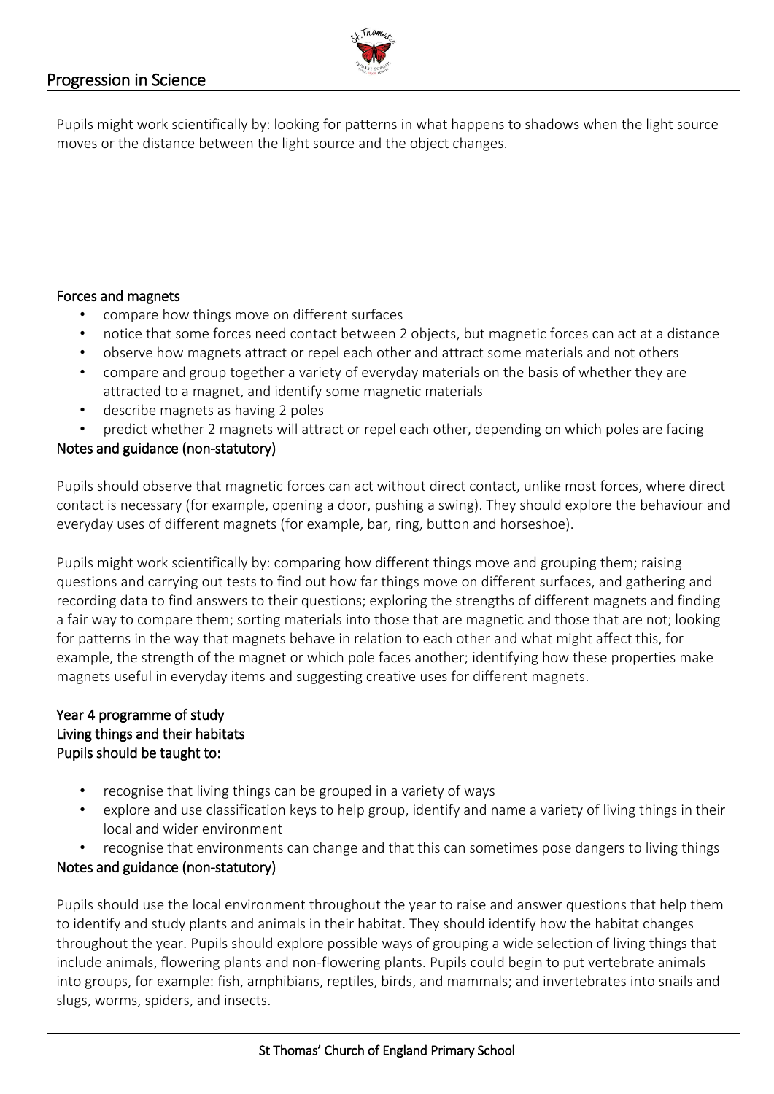

Pupils might work scientifically by: looking for patterns in what happens to shadows when the light source moves or the distance between the light source and the object changes.

#### Forces and magnets

- compare how things move on different surfaces
- notice that some forces need contact between 2 objects, but magnetic forces can act at a distance
- observe how magnets attract or repel each other and attract some materials and not others
- compare and group together a variety of everyday materials on the basis of whether they are attracted to a magnet, and identify some magnetic materials
- describe magnets as having 2 poles
- predict whether 2 magnets will attract or repel each other, depending on which poles are facing

#### Notes and guidance (non-statutory)

Pupils should observe that magnetic forces can act without direct contact, unlike most forces, where direct contact is necessary (for example, opening a door, pushing a swing). They should explore the behaviour and everyday uses of different magnets (for example, bar, ring, button and horseshoe).

Pupils might work scientifically by: comparing how different things move and grouping them; raising questions and carrying out tests to find out how far things move on different surfaces, and gathering and recording data to find answers to their questions; exploring the strengths of different magnets and finding a fair way to compare them; sorting materials into those that are magnetic and those that are not; looking for patterns in the way that magnets behave in relation to each other and what might affect this, for example, the strength of the magnet or which pole faces another; identifying how these properties make magnets useful in everyday items and suggesting creative uses for different magnets.

## Year 4 programme of study Living things and their habitats Pupils should be taught to:

- recognise that living things can be grouped in a variety of ways
- explore and use classification keys to help group, identify and name a variety of living things in their local and wider environment
- recognise that environments can change and that this can sometimes pose dangers to living things

#### Notes and guidance (non-statutory)

Pupils should use the local environment throughout the year to raise and answer questions that help them to identify and study plants and animals in their habitat. They should identify how the habitat changes throughout the year. Pupils should explore possible ways of grouping a wide selection of living things that include animals, flowering plants and non-flowering plants. Pupils could begin to put vertebrate animals into groups, for example: fish, amphibians, reptiles, birds, and mammals; and invertebrates into snails and slugs, worms, spiders, and insects.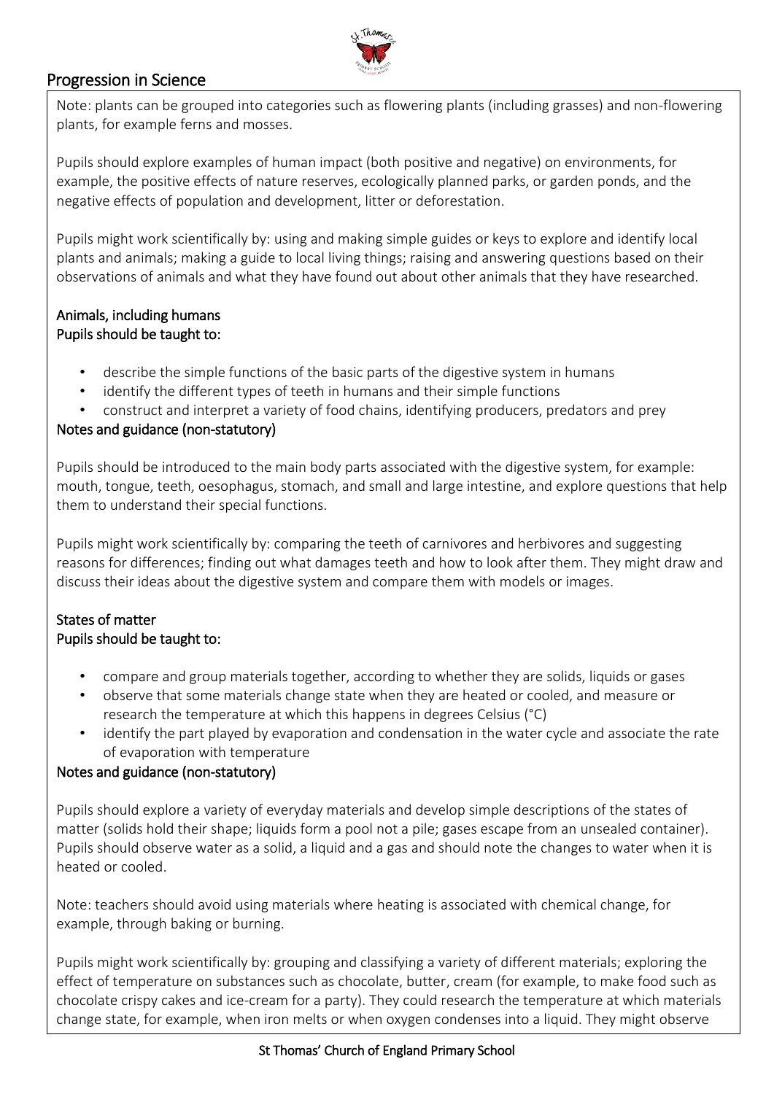

Note: plants can be grouped into categories such as flowering plants (including grasses) and non-flowering plants, for example ferns and mosses.

Pupils should explore examples of human impact (both positive and negative) on environments, for example, the positive effects of nature reserves, ecologically planned parks, or garden ponds, and the negative effects of population and development, litter or deforestation.

Pupils might work scientifically by: using and making simple guides or keys to explore and identify local plants and animals; making a guide to local living things; raising and answering questions based on their observations of animals and what they have found out about other animals that they have researched.

#### Animals, including humans Pupils should be taught to:

- describe the simple functions of the basic parts of the digestive system in humans
- identify the different types of teeth in humans and their simple functions
- construct and interpret a variety of food chains, identifying producers, predators and prey

#### Notes and guidance (non-statutory)

Pupils should be introduced to the main body parts associated with the digestive system, for example: mouth, tongue, teeth, oesophagus, stomach, and small and large intestine, and explore questions that help them to understand their special functions.

Pupils might work scientifically by: comparing the teeth of carnivores and herbivores and suggesting reasons for differences; finding out what damages teeth and how to look after them. They might draw and discuss their ideas about the digestive system and compare them with models or images.

#### States of matter Pupils should be taught to:

- compare and group materials together, according to whether they are solids, liquids or gases
- observe that some materials change state when they are heated or cooled, and measure or research the temperature at which this happens in degrees Celsius (°C)
- identify the part played by evaporation and condensation in the water cycle and associate the rate of evaporation with temperature

#### Notes and guidance (non-statutory)

Pupils should explore a variety of everyday materials and develop simple descriptions of the states of matter (solids hold their shape; liquids form a pool not a pile; gases escape from an unsealed container). Pupils should observe water as a solid, a liquid and a gas and should note the changes to water when it is heated or cooled.

Note: teachers should avoid using materials where heating is associated with chemical change, for example, through baking or burning.

Pupils might work scientifically by: grouping and classifying a variety of different materials; exploring the effect of temperature on substances such as chocolate, butter, cream (for example, to make food such as chocolate crispy cakes and ice-cream for a party). They could research the temperature at which materials change state, for example, when iron melts or when oxygen condenses into a liquid. They might observe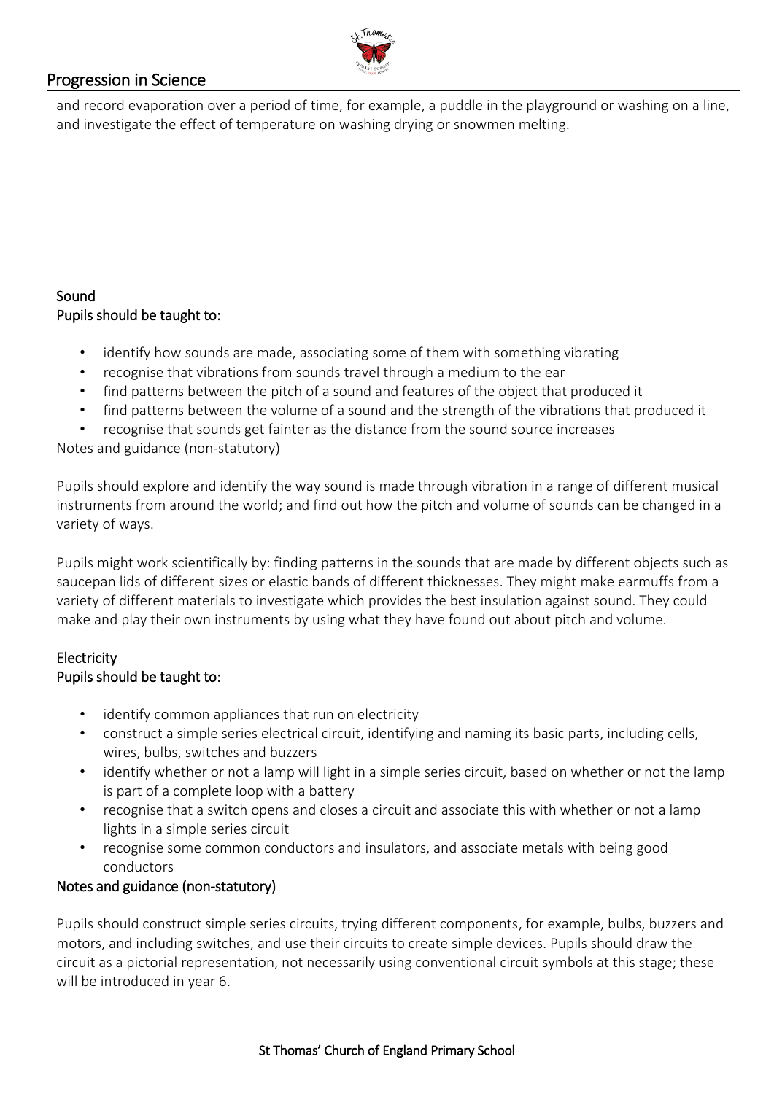

and record evaporation over a period of time, for example, a puddle in the playground or washing on a line, and investigate the effect of temperature on washing drying or snowmen melting.

# Sound Pupils should be taught to:

- identify how sounds are made, associating some of them with something vibrating
- recognise that vibrations from sounds travel through a medium to the ear
- find patterns between the pitch of a sound and features of the object that produced it
- find patterns between the volume of a sound and the strength of the vibrations that produced it
- recognise that sounds get fainter as the distance from the sound source increases

Notes and guidance (non-statutory)

Pupils should explore and identify the way sound is made through vibration in a range of different musical instruments from around the world; and find out how the pitch and volume of sounds can be changed in a variety of ways.

Pupils might work scientifically by: finding patterns in the sounds that are made by different objects such as saucepan lids of different sizes or elastic bands of different thicknesses. They might make earmuffs from a variety of different materials to investigate which provides the best insulation against sound. They could make and play their own instruments by using what they have found out about pitch and volume.

#### **Electricity** Pupils should be taught to:

- identify common appliances that run on electricity
- construct a simple series electrical circuit, identifying and naming its basic parts, including cells, wires, bulbs, switches and buzzers
- identify whether or not a lamp will light in a simple series circuit, based on whether or not the lamp is part of a complete loop with a battery
- recognise that a switch opens and closes a circuit and associate this with whether or not a lamp lights in a simple series circuit
- recognise some common conductors and insulators, and associate metals with being good conductors

# Notes and guidance (non-statutory)

Pupils should construct simple series circuits, trying different components, for example, bulbs, buzzers and motors, and including switches, and use their circuits to create simple devices. Pupils should draw the circuit as a pictorial representation, not necessarily using conventional circuit symbols at this stage; these will be introduced in year 6.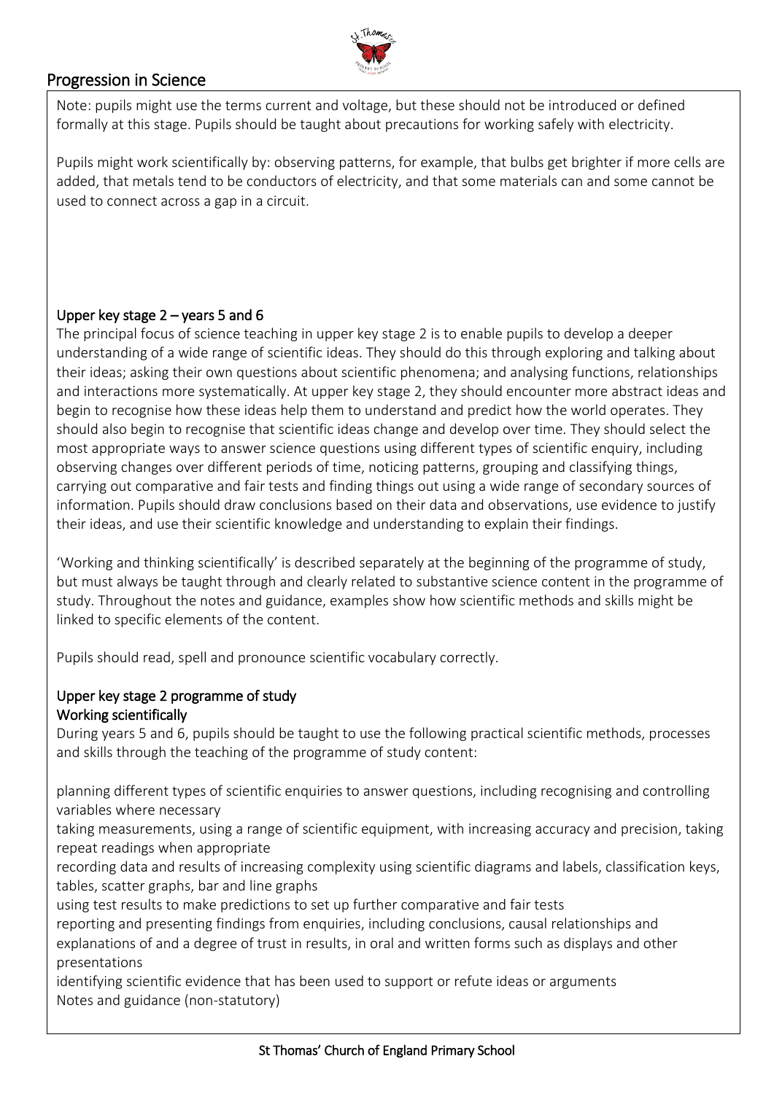

Note: pupils might use the terms current and voltage, but these should not be introduced or defined formally at this stage. Pupils should be taught about precautions for working safely with electricity.

Pupils might work scientifically by: observing patterns, for example, that bulbs get brighter if more cells are added, that metals tend to be conductors of electricity, and that some materials can and some cannot be used to connect across a gap in a circuit.

#### Upper key stage 2 – years 5 and 6

The principal focus of science teaching in upper key stage 2 is to enable pupils to develop a deeper understanding of a wide range of scientific ideas. They should do this through exploring and talking about their ideas; asking their own questions about scientific phenomena; and analysing functions, relationships and interactions more systematically. At upper key stage 2, they should encounter more abstract ideas and begin to recognise how these ideas help them to understand and predict how the world operates. They should also begin to recognise that scientific ideas change and develop over time. They should select the most appropriate ways to answer science questions using different types of scientific enquiry, including observing changes over different periods of time, noticing patterns, grouping and classifying things, carrying out comparative and fair tests and finding things out using a wide range of secondary sources of information. Pupils should draw conclusions based on their data and observations, use evidence to justify their ideas, and use their scientific knowledge and understanding to explain their findings.

'Working and thinking scientifically' is described separately at the beginning of the programme of study, but must always be taught through and clearly related to substantive science content in the programme of study. Throughout the notes and guidance, examples show how scientific methods and skills might be linked to specific elements of the content.

Pupils should read, spell and pronounce scientific vocabulary correctly.

#### Upper key stage 2 programme of study Working scientifically

During years 5 and 6, pupils should be taught to use the following practical scientific methods, processes and skills through the teaching of the programme of study content:

planning different types of scientific enquiries to answer questions, including recognising and controlling variables where necessary

taking measurements, using a range of scientific equipment, with increasing accuracy and precision, taking repeat readings when appropriate

recording data and results of increasing complexity using scientific diagrams and labels, classification keys, tables, scatter graphs, bar and line graphs

using test results to make predictions to set up further comparative and fair tests

reporting and presenting findings from enquiries, including conclusions, causal relationships and explanations of and a degree of trust in results, in oral and written forms such as displays and other presentations

identifying scientific evidence that has been used to support or refute ideas or arguments Notes and guidance (non-statutory)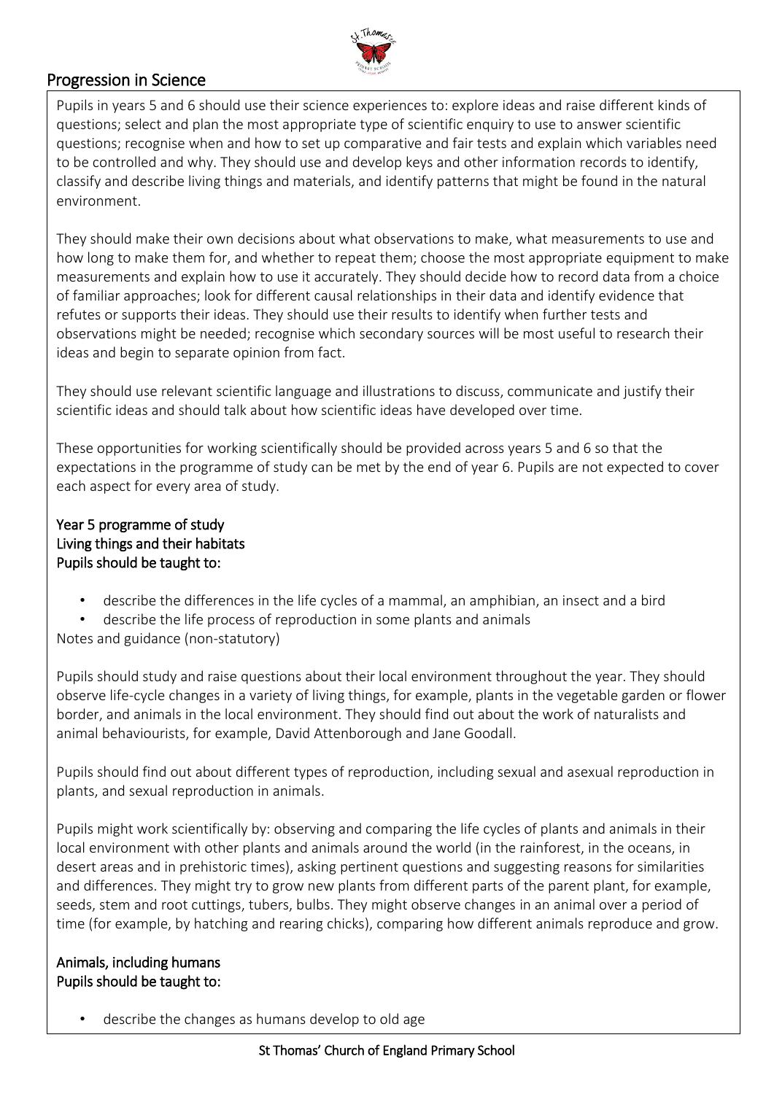

Pupils in years 5 and 6 should use their science experiences to: explore ideas and raise different kinds of questions; select and plan the most appropriate type of scientific enquiry to use to answer scientific questions; recognise when and how to set up comparative and fair tests and explain which variables need to be controlled and why. They should use and develop keys and other information records to identify, classify and describe living things and materials, and identify patterns that might be found in the natural environment.

They should make their own decisions about what observations to make, what measurements to use and how long to make them for, and whether to repeat them; choose the most appropriate equipment to make measurements and explain how to use it accurately. They should decide how to record data from a choice of familiar approaches; look for different causal relationships in their data and identify evidence that refutes or supports their ideas. They should use their results to identify when further tests and observations might be needed; recognise which secondary sources will be most useful to research their ideas and begin to separate opinion from fact.

They should use relevant scientific language and illustrations to discuss, communicate and justify their scientific ideas and should talk about how scientific ideas have developed over time.

These opportunities for working scientifically should be provided across years 5 and 6 so that the expectations in the programme of study can be met by the end of year 6. Pupils are not expected to cover each aspect for every area of study.

# Year 5 programme of study Living things and their habitats Pupils should be taught to:

- describe the differences in the life cycles of a mammal, an amphibian, an insect and a bird
- describe the life process of reproduction in some plants and animals
- Notes and guidance (non-statutory)

Pupils should study and raise questions about their local environment throughout the year. They should observe life-cycle changes in a variety of living things, for example, plants in the vegetable garden or flower border, and animals in the local environment. They should find out about the work of naturalists and animal behaviourists, for example, David Attenborough and Jane Goodall.

Pupils should find out about different types of reproduction, including sexual and asexual reproduction in plants, and sexual reproduction in animals.

Pupils might work scientifically by: observing and comparing the life cycles of plants and animals in their local environment with other plants and animals around the world (in the rainforest, in the oceans, in desert areas and in prehistoric times), asking pertinent questions and suggesting reasons for similarities and differences. They might try to grow new plants from different parts of the parent plant, for example, seeds, stem and root cuttings, tubers, bulbs. They might observe changes in an animal over a period of time (for example, by hatching and rearing chicks), comparing how different animals reproduce and grow.

#### Animals, including humans Pupils should be taught to:

• describe the changes as humans develop to old age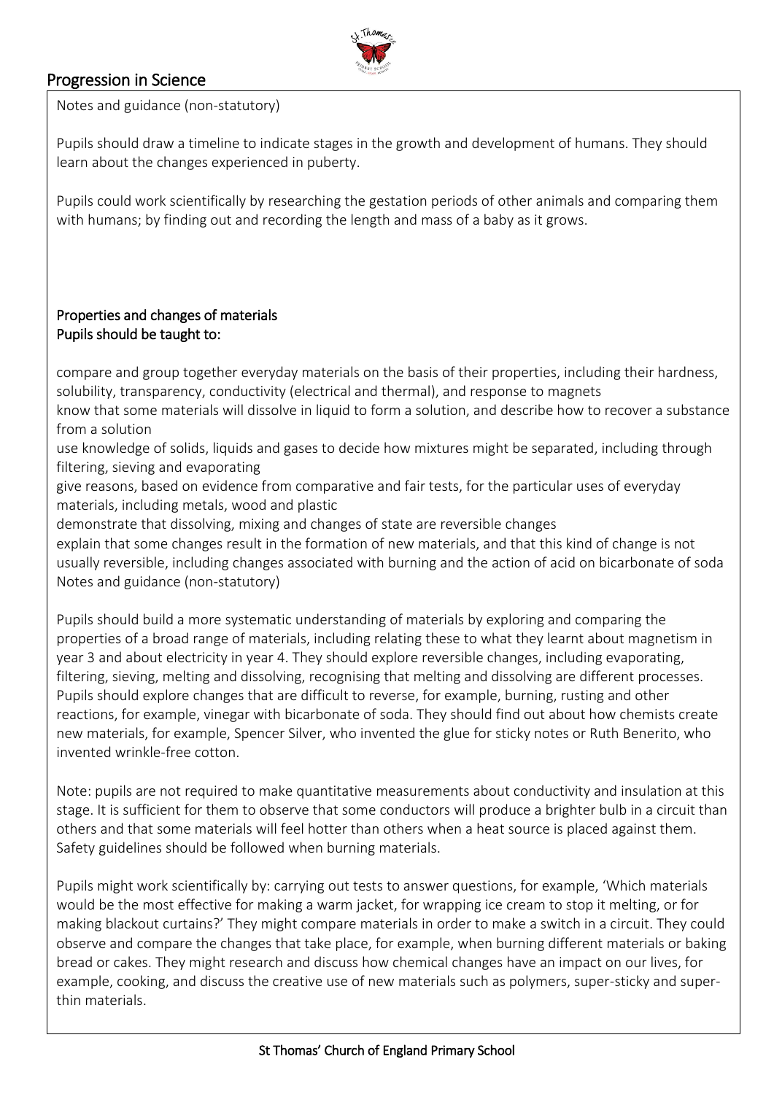

Notes and guidance (non-statutory)

Pupils should draw a timeline to indicate stages in the growth and development of humans. They should learn about the changes experienced in puberty.

Pupils could work scientifically by researching the gestation periods of other animals and comparing them with humans; by finding out and recording the length and mass of a baby as it grows.

## Properties and changes of materials Pupils should be taught to:

compare and group together everyday materials on the basis of their properties, including their hardness, solubility, transparency, conductivity (electrical and thermal), and response to magnets

know that some materials will dissolve in liquid to form a solution, and describe how to recover a substance from a solution

use knowledge of solids, liquids and gases to decide how mixtures might be separated, including through filtering, sieving and evaporating

give reasons, based on evidence from comparative and fair tests, for the particular uses of everyday materials, including metals, wood and plastic

demonstrate that dissolving, mixing and changes of state are reversible changes

explain that some changes result in the formation of new materials, and that this kind of change is not usually reversible, including changes associated with burning and the action of acid on bicarbonate of soda Notes and guidance (non-statutory)

Pupils should build a more systematic understanding of materials by exploring and comparing the properties of a broad range of materials, including relating these to what they learnt about magnetism in year 3 and about electricity in year 4. They should explore reversible changes, including evaporating, filtering, sieving, melting and dissolving, recognising that melting and dissolving are different processes. Pupils should explore changes that are difficult to reverse, for example, burning, rusting and other reactions, for example, vinegar with bicarbonate of soda. They should find out about how chemists create new materials, for example, Spencer Silver, who invented the glue for sticky notes or Ruth Benerito, who invented wrinkle-free cotton.

Note: pupils are not required to make quantitative measurements about conductivity and insulation at this stage. It is sufficient for them to observe that some conductors will produce a brighter bulb in a circuit than others and that some materials will feel hotter than others when a heat source is placed against them. Safety guidelines should be followed when burning materials.

Pupils might work scientifically by: carrying out tests to answer questions, for example, 'Which materials would be the most effective for making a warm jacket, for wrapping ice cream to stop it melting, or for making blackout curtains?' They might compare materials in order to make a switch in a circuit. They could observe and compare the changes that take place, for example, when burning different materials or baking bread or cakes. They might research and discuss how chemical changes have an impact on our lives, for example, cooking, and discuss the creative use of new materials such as polymers, super-sticky and superthin materials.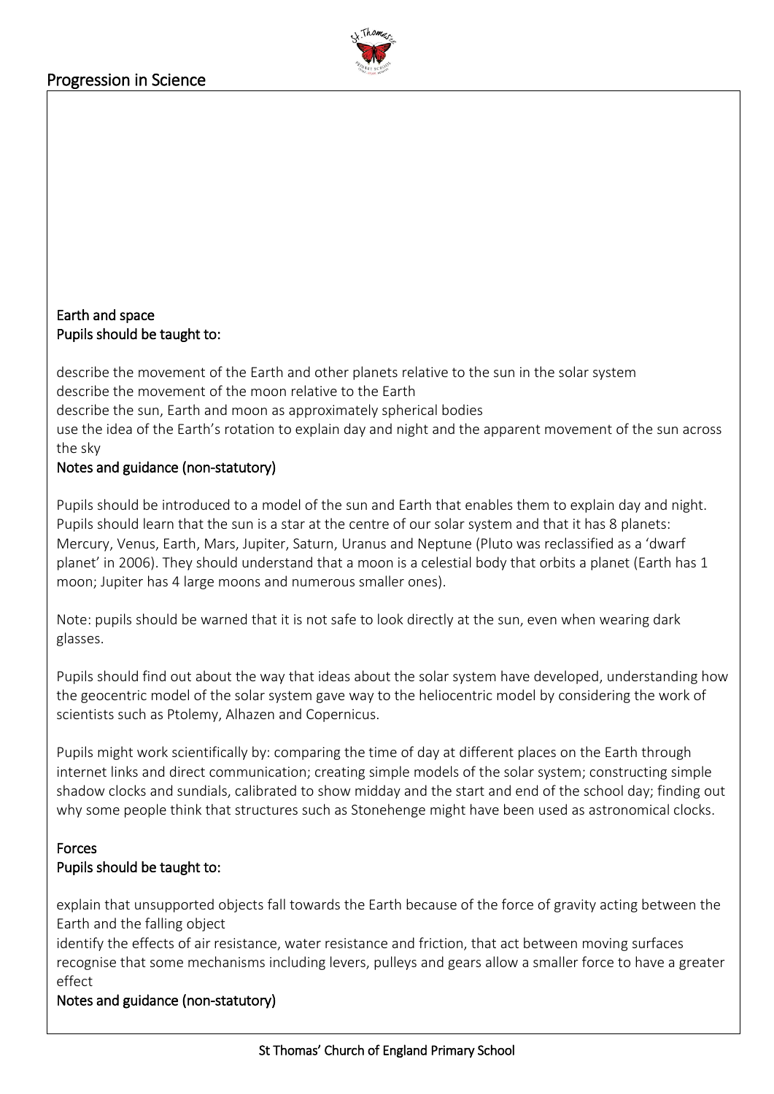

#### Earth and space Pupils should be taught to:

describe the movement of the Earth and other planets relative to the sun in the solar system describe the movement of the moon relative to the Earth describe the sun, Earth and moon as approximately spherical bodies use the idea of the Earth's rotation to explain day and night and the apparent movement of the sun across the sky

#### Notes and guidance (non-statutory)

Pupils should be introduced to a model of the sun and Earth that enables them to explain day and night. Pupils should learn that the sun is a star at the centre of our solar system and that it has 8 planets: Mercury, Venus, Earth, Mars, Jupiter, Saturn, Uranus and Neptune (Pluto was reclassified as a 'dwarf planet' in 2006). They should understand that a moon is a celestial body that orbits a planet (Earth has 1 moon; Jupiter has 4 large moons and numerous smaller ones).

Note: pupils should be warned that it is not safe to look directly at the sun, even when wearing dark glasses.

Pupils should find out about the way that ideas about the solar system have developed, understanding how the geocentric model of the solar system gave way to the heliocentric model by considering the work of scientists such as Ptolemy, Alhazen and Copernicus.

Pupils might work scientifically by: comparing the time of day at different places on the Earth through internet links and direct communication; creating simple models of the solar system; constructing simple shadow clocks and sundials, calibrated to show midday and the start and end of the school day; finding out why some people think that structures such as Stonehenge might have been used as astronomical clocks.

#### Forces Pupils should be taught to:

explain that unsupported objects fall towards the Earth because of the force of gravity acting between the Earth and the falling object

identify the effects of air resistance, water resistance and friction, that act between moving surfaces recognise that some mechanisms including levers, pulleys and gears allow a smaller force to have a greater effect

# Notes and guidance (non-statutory)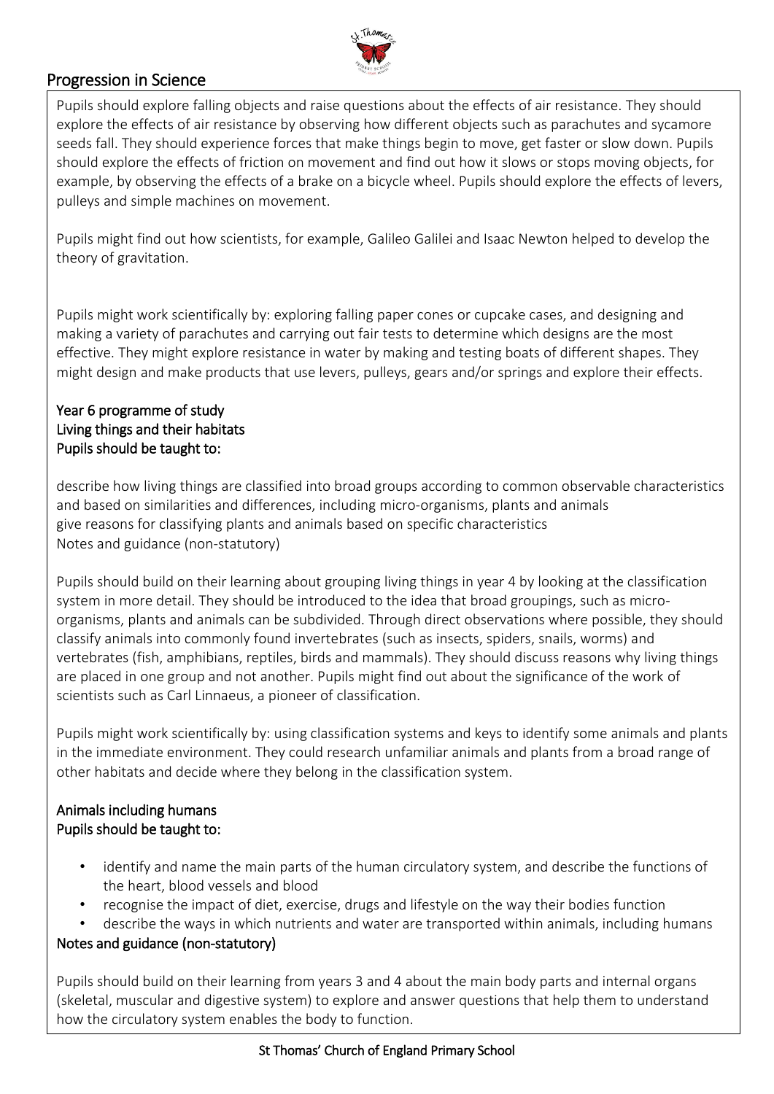

Pupils should explore falling objects and raise questions about the effects of air resistance. They should explore the effects of air resistance by observing how different objects such as parachutes and sycamore seeds fall. They should experience forces that make things begin to move, get faster or slow down. Pupils should explore the effects of friction on movement and find out how it slows or stops moving objects, for example, by observing the effects of a brake on a bicycle wheel. Pupils should explore the effects of levers, pulleys and simple machines on movement.

Pupils might find out how scientists, for example, Galileo Galilei and Isaac Newton helped to develop the theory of gravitation.

Pupils might work scientifically by: exploring falling paper cones or cupcake cases, and designing and making a variety of parachutes and carrying out fair tests to determine which designs are the most effective. They might explore resistance in water by making and testing boats of different shapes. They might design and make products that use levers, pulleys, gears and/or springs and explore their effects.

# Year 6 programme of study Living things and their habitats Pupils should be taught to:

describe how living things are classified into broad groups according to common observable characteristics and based on similarities and differences, including micro-organisms, plants and animals give reasons for classifying plants and animals based on specific characteristics Notes and guidance (non-statutory)

Pupils should build on their learning about grouping living things in year 4 by looking at the classification system in more detail. They should be introduced to the idea that broad groupings, such as microorganisms, plants and animals can be subdivided. Through direct observations where possible, they should classify animals into commonly found invertebrates (such as insects, spiders, snails, worms) and vertebrates (fish, amphibians, reptiles, birds and mammals). They should discuss reasons why living things are placed in one group and not another. Pupils might find out about the significance of the work of scientists such as Carl Linnaeus, a pioneer of classification.

Pupils might work scientifically by: using classification systems and keys to identify some animals and plants in the immediate environment. They could research unfamiliar animals and plants from a broad range of other habitats and decide where they belong in the classification system.

#### Animals including humans Pupils should be taught to:

- identify and name the main parts of the human circulatory system, and describe the functions of the heart, blood vessels and blood
- recognise the impact of diet, exercise, drugs and lifestyle on the way their bodies function
- describe the ways in which nutrients and water are transported within animals, including humans

# Notes and guidance (non-statutory)

Pupils should build on their learning from years 3 and 4 about the main body parts and internal organs (skeletal, muscular and digestive system) to explore and answer questions that help them to understand how the circulatory system enables the body to function.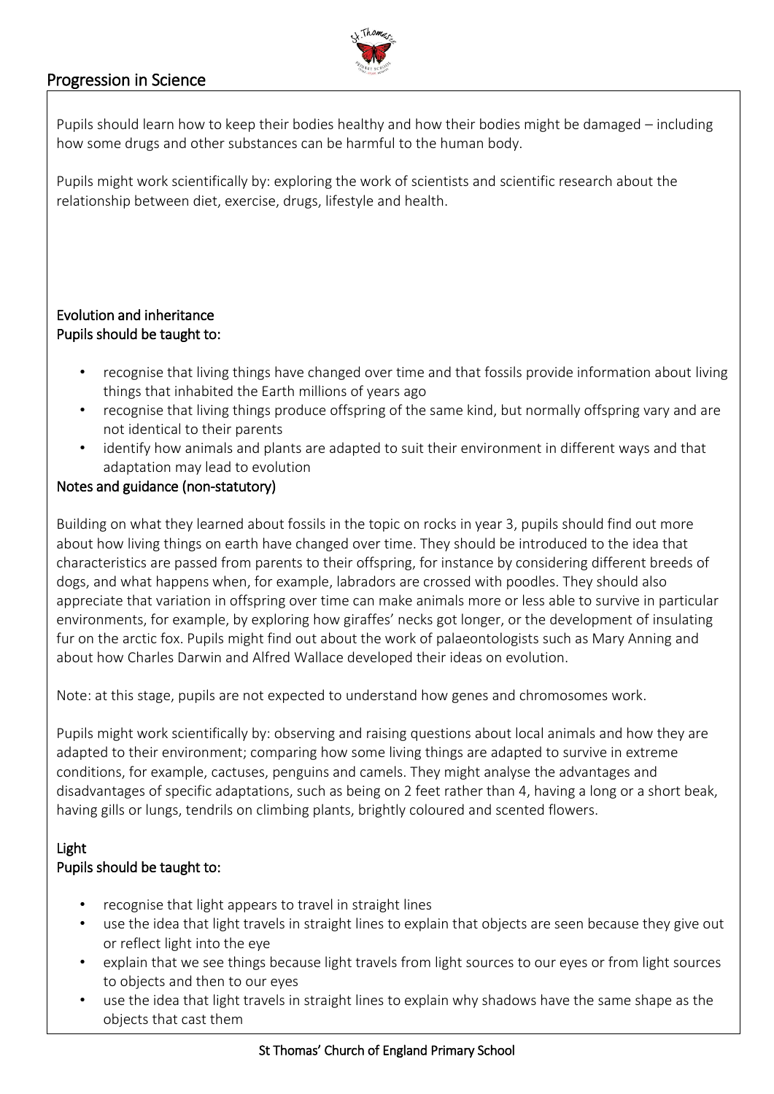

Pupils should learn how to keep their bodies healthy and how their bodies might be damaged – including how some drugs and other substances can be harmful to the human body.

Pupils might work scientifically by: exploring the work of scientists and scientific research about the relationship between diet, exercise, drugs, lifestyle and health.

#### Evolution and inheritance Pupils should be taught to:

- recognise that living things have changed over time and that fossils provide information about living things that inhabited the Earth millions of years ago
- recognise that living things produce offspring of the same kind, but normally offspring vary and are not identical to their parents
- identify how animals and plants are adapted to suit their environment in different ways and that adaptation may lead to evolution

#### Notes and guidance (non-statutory)

Building on what they learned about fossils in the topic on rocks in year 3, pupils should find out more about how living things on earth have changed over time. They should be introduced to the idea that characteristics are passed from parents to their offspring, for instance by considering different breeds of dogs, and what happens when, for example, labradors are crossed with poodles. They should also appreciate that variation in offspring over time can make animals more or less able to survive in particular environments, for example, by exploring how giraffes' necks got longer, or the development of insulating fur on the arctic fox. Pupils might find out about the work of palaeontologists such as Mary Anning and about how Charles Darwin and Alfred Wallace developed their ideas on evolution.

Note: at this stage, pupils are not expected to understand how genes and chromosomes work.

Pupils might work scientifically by: observing and raising questions about local animals and how they are adapted to their environment; comparing how some living things are adapted to survive in extreme conditions, for example, cactuses, penguins and camels. They might analyse the advantages and disadvantages of specific adaptations, such as being on 2 feet rather than 4, having a long or a short beak, having gills or lungs, tendrils on climbing plants, brightly coloured and scented flowers.

# Light

#### Pupils should be taught to:

- recognise that light appears to travel in straight lines
- use the idea that light travels in straight lines to explain that objects are seen because they give out or reflect light into the eye
- explain that we see things because light travels from light sources to our eyes or from light sources to objects and then to our eyes
- use the idea that light travels in straight lines to explain why shadows have the same shape as the objects that cast them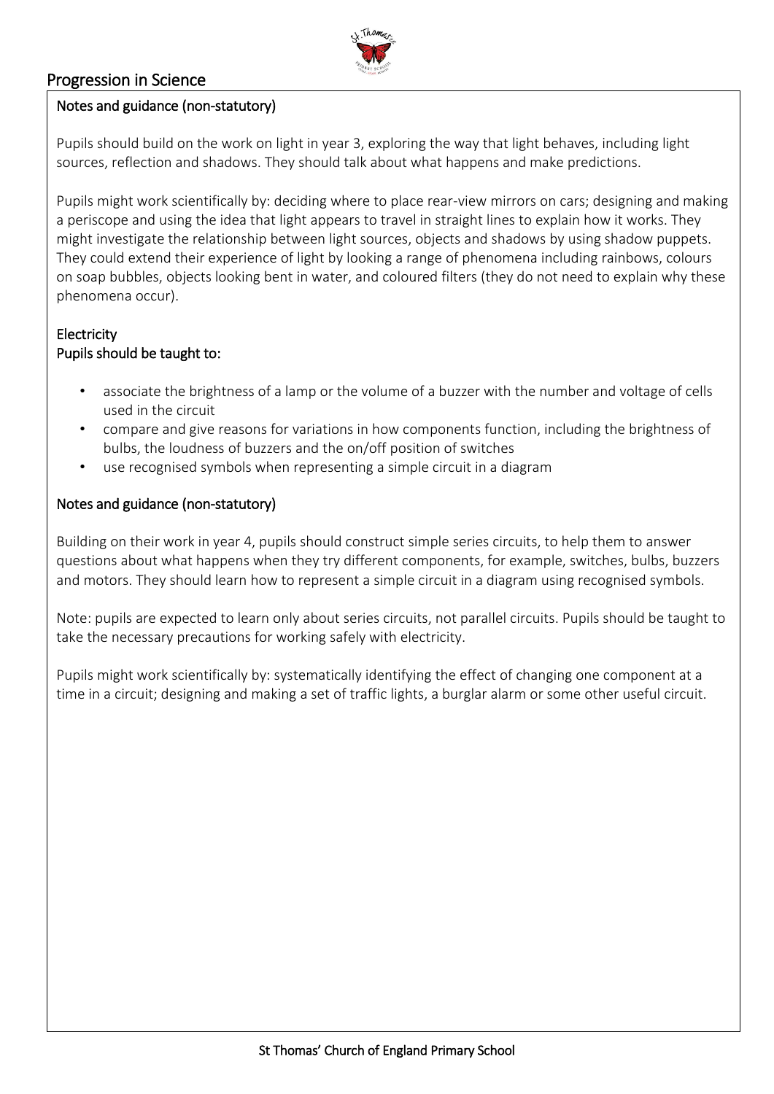

# Notes and guidance (non-statutory)

Pupils should build on the work on light in year 3, exploring the way that light behaves, including light sources, reflection and shadows. They should talk about what happens and make predictions.

Pupils might work scientifically by: deciding where to place rear-view mirrors on cars; designing and making a periscope and using the idea that light appears to travel in straight lines to explain how it works. They might investigate the relationship between light sources, objects and shadows by using shadow puppets. They could extend their experience of light by looking a range of phenomena including rainbows, colours on soap bubbles, objects looking bent in water, and coloured filters (they do not need to explain why these phenomena occur).

#### **Electricity** Pupils should be taught to:

- associate the brightness of a lamp or the volume of a buzzer with the number and voltage of cells used in the circuit
- compare and give reasons for variations in how components function, including the brightness of bulbs, the loudness of buzzers and the on/off position of switches
- use recognised symbols when representing a simple circuit in a diagram

#### Notes and guidance (non-statutory)

Building on their work in year 4, pupils should construct simple series circuits, to help them to answer questions about what happens when they try different components, for example, switches, bulbs, buzzers and motors. They should learn how to represent a simple circuit in a diagram using recognised symbols.

Note: pupils are expected to learn only about series circuits, not parallel circuits. Pupils should be taught to take the necessary precautions for working safely with electricity.

Pupils might work scientifically by: systematically identifying the effect of changing one component at a time in a circuit; designing and making a set of traffic lights, a burglar alarm or some other useful circuit.